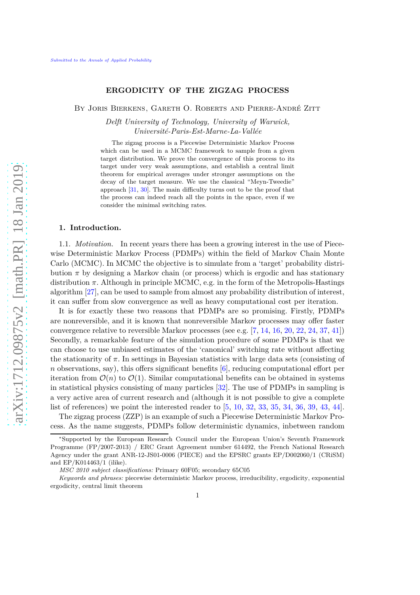# **ERGODICITY OF THE ZIGZAG PROCESS**

BY JORIS BIERKENS, GARETH O. ROBERTS AND PIERRE-ANDRÉ ZITT

*Delft University of Technology, University of Warwick, Universit´e-Paris-Est-Marne-La-Vall´ee*

The zigzag process is a Piecewise Deterministic Markov Process which can be used in a MCMC framework to sample from a given target distribution. We prove the convergence of this process to its target under very weak assumptions, and establish a central limit theorem for empirical averages under stronger assumptions on the decay of the target measure. We use the classical "Meyn-Tweedie" approach [\[31,](#page-32-0) [30\]](#page-32-1). The main difficulty turns out to be the proof that the process can indeed reach all the points in the space, even if we consider the minimal switching rates.

### **1. Introduction.**

1.1. *Motivation.* In recent years there has been a growing interest in the use of Piecewise Deterministic Markov Process (PDMPs) within the field of Markov Chain Monte Carlo (MCMC). In MCMC the objective is to simulate from a 'target' probability distribution  $\pi$  by designing a Markov chain (or process) which is ergodic and has stationary distribution *π*. Although in principle MCMC, e.g. in the form of the Metropolis-Hastings algorithm [\[27\]](#page-32-2), can be used to sample from almost any probability distribution of interest, it can suffer from slow convergence as well as heavy computational cost per iteration.

It is for exactly these two reasons that PDMPs are so promising. Firstly, PDMPs are nonreversible, and it is known that nonreversible Markov processes may offer faster convergence relative to reversible Markov processes (see e.g. [\[7,](#page-31-0) [14,](#page-32-3) [16,](#page-32-4) [20,](#page-32-5) [22,](#page-32-6) [24,](#page-32-7) [37,](#page-33-0) [41\]](#page-33-1)) Secondly, a remarkable feature of the simulation procedure of some PDMPs is that we can choose to use unbiased estimates of the 'canonical' switching rate without affecting the stationarity of *π*. In settings in Bayesian statistics with large data sets (consisting of *n* observations, say), this offers significant benefits [\[6\]](#page-31-1), reducing computational effort per iteration from  $\mathcal{O}(n)$  to  $\mathcal{O}(1)$ . Similar computational benefits can be obtained in systems in statistical physics consisting of many particles [\[32\]](#page-32-8). The use of PDMPs in sampling is a very active area of current research and (although it is not possible to give a complete list of references) we point the interested reader to [\[5,](#page-31-2) [10,](#page-32-9) [32,](#page-32-8) [33,](#page-32-10) [35,](#page-33-2) [34,](#page-33-3) [36,](#page-33-4) [39,](#page-33-5) [43,](#page-33-6) [44\]](#page-33-7).

The zigzag process (ZZP) is an example of such a Piecewise Deterministic Markov Process. As the name suggests, PDMPs follow deterministic dynamics, inbetween random

<sup>∗</sup> Supported by the European Research Council under the European Union's Seventh Framework Programme (FP/2007-2013) / ERC Grant Agreement number 614492, the French National Research Agency under the grant ANR-12-JS01-0006 (PIECE) and the EPSRC grants EP/D002060/1 (CRiSM) and EP/K014463/1 (ilike).

*MSC 2010 subject classifications:* Primary 60F05; secondary 65C05

*Keywords and phrases:* piecewise deterministic Markov process, irreducibility, ergodicity, exponential ergodicity, central limit theorem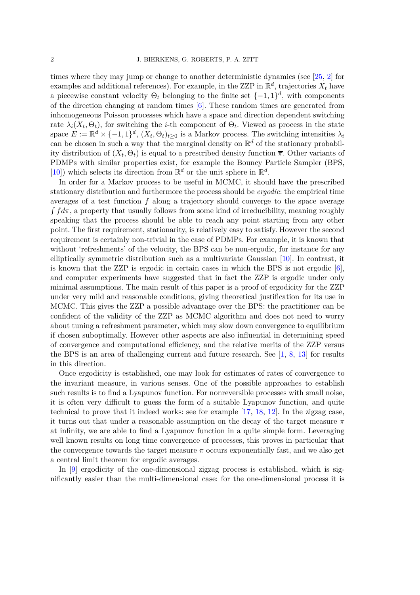times where they may jump or change to another deterministic dynamics (see [\[25,](#page-32-11) [2\]](#page-31-3) for examples and additional references). For example, in the ZZP in  $\mathbb{R}^d$ , trajectories  $X_t$  have a piecewise constant velocity  $\Theta_t$  belonging to the finite set  $\{-1, 1\}^d$ , with components of the direction changing at random times [\[6\]](#page-31-1). These random times are generated from inhomogeneous Poisson processes which have a space and direction dependent switching rate  $\lambda_i(X_t, \Theta_t)$ , for switching the *i*-th component of  $\Theta_t$ . Viewed as process in the state space  $E := \mathbb{R}^d \times \{-1, 1\}^d$ ,  $(X_t, \Theta_t)_{t \geq 0}$  is a Markov process. The switching intensities  $\lambda_i$ can be chosen in such a way that the marginal density on  $\mathbb{R}^d$  of the stationary probability distribution of  $(X_t, \Theta_t)$  is equal to a prescribed density function  $\overline{\pi}$ . Other variants of PDMPs with similar properties exist, for example the Bouncy Particle Sampler (BPS, [\[10\]](#page-32-9)) which selects its direction from  $\mathbb{R}^d$  or the unit sphere in  $\mathbb{R}^d$ .

In order for a Markov process to be useful in MCMC, it should have the prescribed stationary distribution and furthermore the process should be *ergodic*: the empirical time averages of a test function *f* along a trajectory should converge to the space average  $\int f d\pi$ , a property that usually follows from some kind of irreducibility, meaning roughly speaking that the process should be able to reach any point starting from any other point. The first requirement, stationarity, is relatively easy to satisfy. However the second requirement is certainly non-trivial in the case of PDMPs. For example, it is known that without 'refreshments' of the velocity, the BPS can be non-ergodic, for instance for any elliptically symmetric distribution such as a multivariate Gaussian [\[10\]](#page-32-9). In contrast, it is known that the ZZP is ergodic in certain cases in which the BPS is not ergodic  $[6]$ , and computer experiments have suggested that in fact the ZZP is ergodic under only minimal assumptions. The main result of this paper is a proof of ergodicity for the ZZP under very mild and reasonable conditions, giving theoretical justification for its use in MCMC. This gives the ZZP a possible advantage over the BPS: the practitioner can be confident of the validity of the ZZP as MCMC algorithm and does not need to worry about tuning a refreshment parameter, which may slow down convergence to equilibrium if chosen suboptimally. However other aspects are also influential in determining speed of convergence and computational efficiency, and the relative merits of the ZZP versus the BPS is an area of challenging current and future research. See [\[1,](#page-31-4) [8,](#page-31-5) [13\]](#page-32-12) for results in this direction.

Once ergodicity is established, one may look for estimates of rates of convergence to the invariant measure, in various senses. One of the possible approaches to establish such results is to find a Lyapunov function. For nonreversible processes with small noise, it is often very difficult to guess the form of a suitable Lyapunov function, and quite technical to prove that it indeed works: see for example [\[17,](#page-32-13) [18,](#page-32-14) [12\]](#page-32-15). In the zigzag case, it turns out that under a reasonable assumption on the decay of the target measure *π* at infinity, we are able to find a Lyapunov function in a quite simple form. Leveraging well known results on long time convergence of processes, this proves in particular that the convergence towards the target measure  $\pi$  occurs exponentially fast, and we also get a central limit theorem for ergodic averages.

In [\[9\]](#page-31-6) ergodicity of the one-dimensional zigzag process is established, which is significantly easier than the multi-dimensional case: for the one-dimensional process it is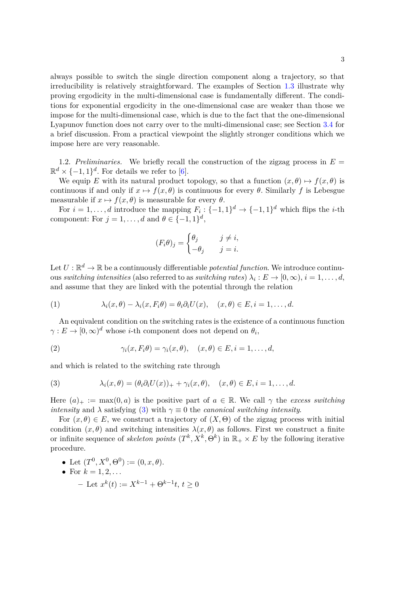always possible to switch the single direction component along a trajectory, so that irreducibility is relatively straightforward. The examples of Section [1.3](#page-3-0) illustrate why proving ergodicity in the multi-dimensional case is fundamentally different. The conditions for exponential ergodicity in the one-dimensional case are weaker than those we impose for the multi-dimensional case, which is due to the fact that the one-dimensional Lyapunov function does not carry over to the multi-dimensional case; see Section [3.4](#page-28-0) for a brief discussion. From a practical viewpoint the slightly stronger conditions which we impose here are very reasonable.

<span id="page-2-2"></span>1.2. *Preliminaries.* We briefly recall the construction of the zigzag process in  $E =$  $\mathbb{R}^d \times \{-1,1\}^d$ . For details we refer to [\[6\]](#page-31-1).

We equip *E* with its natural product topology, so that a function  $(x, \theta) \mapsto f(x, \theta)$  is continuous if and only if  $x \mapsto f(x, \theta)$  is continuous for every  $\theta$ . Similarly f is Lebesgue measurable if  $x \mapsto f(x, \theta)$  is measurable for every  $\theta$ .

For  $i = 1, \ldots, d$  introduce the mapping  $F_i: \{-1, 1\}^d \to \{-1, 1\}^d$  which flips the *i*-th component: For  $j = 1, \ldots, d$  and  $\theta \in \{-1, 1\}^d$ ,

$$
(F_i \theta)_j = \begin{cases} \theta_j & j \neq i, \\ -\theta_j & j = i. \end{cases}
$$

Let  $U : \mathbb{R}^d \to \mathbb{R}$  be a continuously differentiable *potential function*. We introduce continu- $\alpha$  *switching intensities* (also referred to as *switching rates*)  $\lambda_i : E \to [0, \infty), i = 1, \ldots, d$ , and assume that they are linked with the potential through the relation

<span id="page-2-1"></span>(1) 
$$
\lambda_i(x,\theta) - \lambda_i(x,F_i\theta) = \theta_i\partial_i U(x), \quad (x,\theta) \in E, i = 1,\ldots,d.
$$

An equivalent condition on the switching rates is the existence of a continuous function  $\gamma: E \to [0, \infty)^d$  whose *i*-th component does not depend on  $\theta_i$ ,

(2) 
$$
\gamma_i(x, F_i \theta) = \gamma_i(x, \theta), \quad (x, \theta) \in E, i = 1, \dots, d,
$$

and which is related to the switching rate through

<span id="page-2-0"></span>(3) 
$$
\lambda_i(x,\theta) = (\theta_i \partial_i U(x))_+ + \gamma_i(x,\theta), \quad (x,\theta) \in E, i = 1,\ldots,d.
$$

Here  $(a)_+ := \max(0, a)$  is the positive part of  $a \in \mathbb{R}$ . We call  $\gamma$  the *excess switching intensity* and  $\lambda$  satisfying [\(3\)](#page-2-0) with  $\gamma \equiv 0$  the *canonical switching intensity*.

For  $(x, \theta) \in E$ , we construct a trajectory of  $(X, \Theta)$  of the zigzag process with initial condition  $(x, \theta)$  and switching intensities  $\lambda(x, \theta)$  as follows. First we construct a finite or infinite sequence of *skeleton points*  $(T^k, X^k, \Theta^k)$  in  $\mathbb{R}_+ \times E$  by the following iterative procedure.

• Let 
$$
(T^0, X^0, \Theta^0) := (0, x, \theta)
$$
.

• For  $k = 1, 2, ...$  $-$  Let  $x^k(t) := X^{k-1} + Θ^{k-1}t, t ≥ 0$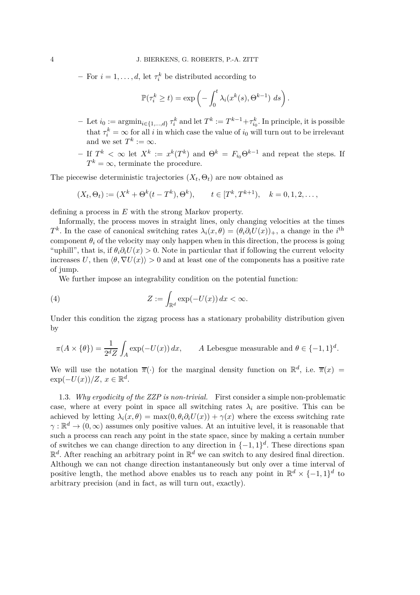**–** For  $i = 1, ..., d$ , let  $\tau_i^k$  be distributed according to

$$
\mathbb{P}(\tau_i^k \ge t) = \exp\left(-\int_0^t \lambda_i(x^k(s), \Theta^{k-1}) \ ds\right).
$$

- $-$  Let  $i_0 := \text{argmin}_{i \in \{1, ..., d\}} \tau_i^k$  and let  $T^k := T^{k-1} + \tau_{i_0}^k$ . In principle, it is possible that  $\tau_i^k = \infty$  for all *i* in which case the value of *i*<sub>0</sub> will turn out to be irrelevant and we set  $T^k := \infty$ .
- $-$  If  $T^k$  <  $\infty$  let  $X^k := x^k(T^k)$  and  $\Theta^k = F_{i_0} \Theta^{k-1}$  and repeat the steps. If  $T^k = \infty$ , terminate the procedure.

The piecewise deterministic trajectories  $(X_t, \Theta_t)$  are now obtained as

$$
(X_t, \Theta_t) := (X^k + \Theta^k(t - T^k), \Theta^k), \qquad t \in [T^k, T^{k+1}), \quad k = 0, 1, 2, \dots,
$$

defining a process in *E* with the strong Markov property.

Informally, the process moves in straight lines, only changing velocities at the times *T*<sup>k</sup>. In the case of canonical switching rates  $\lambda_i(x, \theta) = (\theta_i \partial_i U(x))_+$ , a change in the *i*<sup>th</sup> component  $\theta_i$  of the velocity may only happen when in this direction, the process is going "uphill", that is, if  $\theta_i \partial_i U(x) > 0$ . Note in particular that if following the current velocity increases *U*, then  $\langle \theta, \nabla U(x) \rangle > 0$  and at least one of the components has a positive rate of jump.

<span id="page-3-1"></span>We further impose an integrability condition on the potential function:

(4) 
$$
Z := \int_{\mathbb{R}^d} \exp(-U(x)) dx < \infty.
$$

Under this condition the zigzag process has a stationary probability distribution given by

$$
\pi(A \times \{\theta\}) = \frac{1}{2^d Z} \int_A \exp(-U(x)) dx, \qquad A \text{ Lebesgue measurable and } \theta \in \{-1, 1\}^d.
$$

We will use the notation  $\overline{\pi}(\cdot)$  for the marginal density function on  $\mathbb{R}^d$ , i.e.  $\overline{\pi}(x)$  =  $\exp(-U(x))/Z, x \in \mathbb{R}^d$ .

<span id="page-3-0"></span>1.3. *Why ergodicity of the ZZP is non-trivial.* First consider a simple non-problematic case, where at every point in space all switching rates  $\lambda_i$  are positive. This can be achieved by letting  $\lambda_i(x, \theta) = \max(0, \theta_i \partial_i U(x)) + \gamma(x)$  where the excess switching rate  $\gamma : \mathbb{R}^d \to (0, \infty)$  assumes only positive values. At an intuitive level, it is reasonable that such a process can reach any point in the state space, since by making a certain number of switches we can change direction to any direction in  $\{-1,1\}^d$ . These directions span  $\mathbb{R}^d$ . After reaching an arbitrary point in  $\mathbb{R}^d$  we can switch to any desired final direction. Although we can not change direction instantaneously but only over a time interval of positive length, the method above enables us to reach any point in  $\mathbb{R}^d \times \{-1,1\}^d$  to arbitrary precision (and in fact, as will turn out, exactly).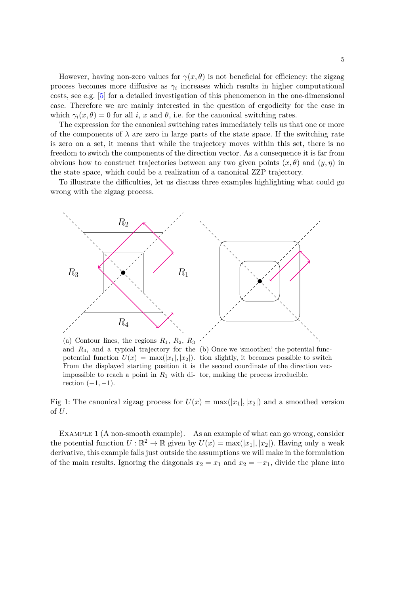However, having non-zero values for  $\gamma(x, \theta)$  is not beneficial for efficiency: the zigzag process becomes more diffusive as  $\gamma_i$  increases which results in higher computational costs, see e.g. [\[5\]](#page-31-2) for a detailed investigation of this phenomenon in the one-dimensional case. Therefore we are mainly interested in the question of ergodicity for the case in which  $\gamma_i(x, \theta) = 0$  for all *i*, *x* and  $\theta$ , i.e. for the canonical switching rates.

The expression for the canonical switching rates immediately tells us that one or more of the components of  $\lambda$  are zero in large parts of the state space. If the switching rate is zero on a set, it means that while the trajectory moves within this set, there is no freedom to switch the components of the direction vector. As a consequence it is far from obvious how to construct trajectories between any two given points (*x, θ*) and (*y, η*) in the state space, which could be a realization of a canonical ZZP trajectory.

To illustrate the difficulties, let us discuss three examples highlighting what could go wrong with the zigzag process.

<span id="page-4-0"></span>

(a) Contour lines, the regions  $R_1$ ,  $R_2$ ,  $R_3$ and  $R_4$ , and a typical trajectory for the  $(b)$  Once we 'smoothen' the potential funcpotential function  $U(x) = \max(|x_1|, |x_2|)$ . tion slightly, it becomes possible to switch From the displayed starting position it is the second coordinate of the direction vecimpossible to reach a point in  $R_1$  with di- tor, making the process irreducible. rection  $(-1, -1)$ .

of *U*.

Fig 1: The canonical zigzag process for  $U(x) = \max(|x_1|, |x_2|)$  and a smoothed version

EXAMPLE 1 (A non-smooth example). As an example of what can go wrong, consider the potential function  $U : \mathbb{R}^2 \to \mathbb{R}$  given by  $U(x) = \max(|x_1|, |x_2|)$ . Having only a weak derivative, this example falls just outside the assumptions we will make in the formulation of the main results. Ignoring the diagonals  $x_2 = x_1$  and  $x_2 = -x_1$ , divide the plane into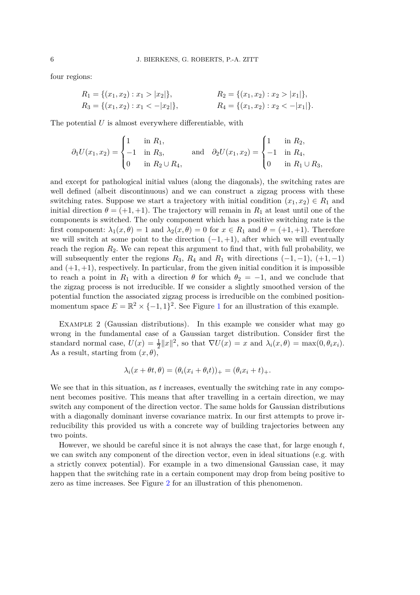four regions:

$$
R_1 = \{(x_1, x_2) : x_1 > |x_2|\},
$$
  
\n
$$
R_2 = \{(x_1, x_2) : x_2 > |x_1|\},
$$
  
\n
$$
R_3 = \{(x_1, x_2) : x_1 < -|x_2|\},
$$
  
\n
$$
R_4 = \{(x_1, x_2) : x_2 < -|x_1|\}.
$$

The potential *U* is almost everywhere differentiable, with

$$
\partial_1 U(x_1, x_2) = \begin{cases} 1 & \text{in } R_1, \\ -1 & \text{in } R_3, \\ 0 & \text{in } R_2 \cup R_4, \end{cases} \quad \text{and} \quad \partial_2 U(x_1, x_2) = \begin{cases} 1 & \text{in } R_2, \\ -1 & \text{in } R_4, \\ 0 & \text{in } R_1 \cup R_3, \end{cases}
$$

and except for pathological initial values (along the diagonals), the switching rates are well defined (albeit discontinuous) and we can construct a zigzag process with these switching rates. Suppose we start a trajectory with initial condition  $(x_1, x_2) \in R_1$  and initial direction  $\theta = (+1, +1)$ . The trajectory will remain in  $R_1$  at least until one of the components is switched. The only component which has a positive switching rate is the first component:  $\lambda_1(x, \theta) = 1$  and  $\lambda_2(x, \theta) = 0$  for  $x \in R_1$  and  $\theta = (+1, +1)$ . Therefore we will switch at some point to the direction  $(-1, +1)$ , after which we will eventually reach the region *R*2. We can repeat this argument to find that, with full probability, we will subsequently enter the regions  $R_3$ ,  $R_4$  and  $R_1$  with directions  $(-1, -1)$ ,  $(+1, -1)$ and  $(+1, +1)$ , respectively. In particular, from the given initial condition it is impossible to reach a point in  $R_1$  with a direction  $\theta$  for which  $\theta_2 = -1$ , and we conclude that the zigzag process is not irreducible. If we consider a slightly smoothed version of the potential function the associated zigzag process is irreducible on the combined positionmomentum space  $E = \mathbb{R}^2 \times \{-1, 1\}^2$  $E = \mathbb{R}^2 \times \{-1, 1\}^2$  $E = \mathbb{R}^2 \times \{-1, 1\}^2$ . See Figure 1 for an illustration of this example.

<span id="page-5-0"></span>EXAMPLE 2 (Gaussian distributions). In this example we consider what may go wrong in the fundamental case of a Gaussian target distribution. Consider first the standard normal case,  $U(x) = \frac{1}{2} ||x||^2$ , so that  $\nabla U(x) = x$  and  $\lambda_i(x, \theta) = \max(0, \theta_i x_i)$ . As a result, starting from  $(x, \theta)$ ,

$$
\lambda_i(x + \theta t, \theta) = (\theta_i(x_i + \theta_i t))_+ = (\theta_i x_i + t)_+.
$$

We see that in this situation, as *t* increases, eventually the switching rate in any component becomes positive. This means that after travelling in a certain direction, we may switch any component of the direction vector. The same holds for Gaussian distributions with a diagonally dominant inverse covariance matrix. In our first attempts to prove irreducibility this provided us with a concrete way of building trajectories between any two points.

However, we should be careful since it is not always the case that, for large enough *t*, we can switch any component of the direction vector, even in ideal situations (e.g. with a strictly convex potential). For example in a two dimensional Gaussian case, it may happen that the switching rate in a certain component may drop from being positive to zero as time increases. See Figure [2](#page-6-0) for an illustration of this phenomenon.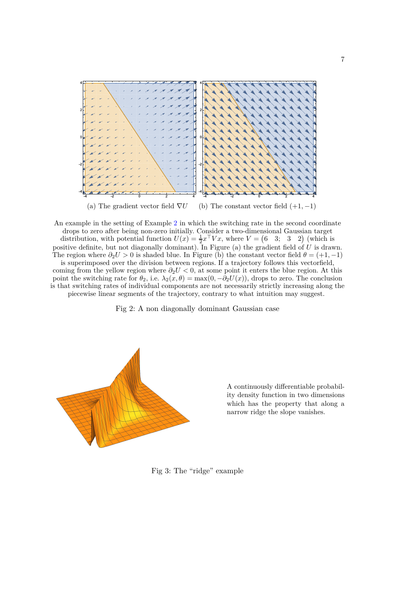<span id="page-6-0"></span>

An example in the setting of Example [2](#page-5-0) in which the switching rate in the second coordinate drops to zero after being non-zero initially. Consider a two-dimensional Gaussian target distribution, with potential function  $U(x) = \frac{1}{2}x^{\top}Vx$ , where  $V = \begin{pmatrix} 6 & 3 \\ 3 & 2 \end{pmatrix}$  (which is positive definite, but not diagonally dominant). In Figure (a) the gradient field of  $\hat{U}$  is drawn. The region where  $\partial_2 U > 0$  is shaded blue. In Figure (b) the constant vector field  $\theta = (+1, -1)$ is superimposed over the division between regions. If a trajectory follows this vectorfield, coming from the yellow region where *∂*2*U <* 0, at some point it enters the blue region. At this point the switching rate for  $\theta_2$ , i.e.  $\lambda_2(x, \theta) = \max(0, -\partial_2 U(x))$ , drops to zero. The conclusion is that switching rates of individual components are not necessarily strictly increasing along the piecewise linear segments of the trajectory, contrary to what intuition may suggest.

Fig 2: A non diagonally dominant Gaussian case

<span id="page-6-1"></span>

A continuously differentiable probability density function in two dimensions which has the property that along a narrow ridge the slope vanishes.

Fig 3: The "ridge" example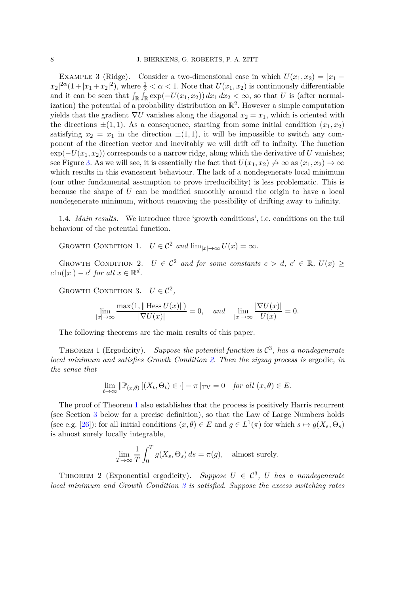<span id="page-7-6"></span>EXAMPLE 3 (Ridge). Consider a two-dimensional case in which  $U(x_1, x_2) = |x_1 - x_2|$  $|x_2|^{\frac{2\alpha}{1}} + |x_1 + x_2|^2$ , where  $\frac{1}{2} < \alpha < 1$ . Note that  $U(x_1, x_2)$  is continuously differentiable and it can be seen that  $\int_{\mathbb{R}} \int_{\mathbb{R}} \exp(-U(x_1, x_2)) dx_1 dx_2 < \infty$ , so that *U* is (after normalization) the potential of a probability distribution on  $\mathbb{R}^2$ . However a simple computation yields that the gradient  $\nabla U$  vanishes along the diagonal  $x_2 = x_1$ , which is oriented with the directions  $\pm(1,1)$ . As a consequence, starting from some initial condition  $(x_1, x_2)$ satisfying  $x_2 = x_1$  in the direction  $\pm (1, 1)$ , it will be impossible to switch any component of the direction vector and inevitably we will drift off to infinity. The function  $\exp(-U(x_1, x_2))$  corresponds to a narrow ridge, along which the derivative of *U* vanishes; see Figure [3.](#page-6-1) As we will see, it is essentially the fact that  $U(x_1, x_2) \nrightarrow \infty$  as  $(x_1, x_2) \rightarrow \infty$ which results in this evanescent behaviour. The lack of a nondegenerate local minimum (our other fundamental assumption to prove irreducibility) is less problematic. This is because the shape of *U* can be modified smoothly around the origin to have a local nondegenerate minimum, without removing the possibility of drifting away to infinity.

<span id="page-7-5"></span>1.4. *Main results.* We introduce three 'growth conditions', i.e. conditions on the tail behaviour of the potential function.

<span id="page-7-4"></span>GROWTH CONDITION 1.  $U \in C^2$  *and*  $\lim_{|x| \to \infty} U(x) = \infty$ *.* 

<span id="page-7-0"></span>GROWTH CONDITION 2.  $U \in C^2$  and for some constants  $c > d$ ,  $c' \in \mathbb{R}$ ,  $U(x) \geq$  $c \ln(|x|) - c'$  *for all*  $x \in \mathbb{R}^d$ .

<span id="page-7-2"></span>GROWTH CONDITION 3.  $U \in \mathcal{C}^2$ ,

$$
\lim_{|x| \to \infty} \frac{\max(1, \| \text{Hess } U(x) \|)}{|\nabla U(x)|} = 0, \quad \text{and} \quad \lim_{|x| \to \infty} \frac{|\nabla U(x) |}{U(x)} = 0.
$$

The following theorems are the main results of this paper.

<span id="page-7-1"></span>THEOREM 1 (Ergodicity). Suppose the potential function is  $\mathcal{C}^3$ , has a nondegenerate *local minimum and satisfies Growth Condition [2.](#page-7-0) Then the zigzag process is* ergodic*, in the sense that*

$$
\lim_{t \to \infty} \|\mathbb{P}_{(x,\theta)}\left[ (X_t, \Theta_t) \in \cdot \right] - \pi\|_{\text{TV}} = 0 \quad \text{for all } (x,\theta) \in E.
$$

The proof of Theorem [1](#page-7-1) also establishes that the process is positively Harris recurrent (see Section [3](#page-19-0) below for a precise definition), so that the Law of Large Numbers holds (see e.g. [\[26\]](#page-32-16)): for all initial conditions  $(x, \theta) \in E$  and  $g \in L^1(\pi)$  for which  $s \mapsto g(X_s, \Theta_s)$ is almost surely locally integrable,

$$
\lim_{T \to \infty} \frac{1}{T} \int_0^T g(X_s, \Theta_s) \, ds = \pi(g), \quad \text{almost surely.}
$$

<span id="page-7-3"></span>THEOREM 2 (Exponential ergodicity). Suppose  $U \in C^3$ , U has a nondegenerate *local minimum and Growth Condition [3](#page-7-2) is satisfied. Suppose the excess switching rates*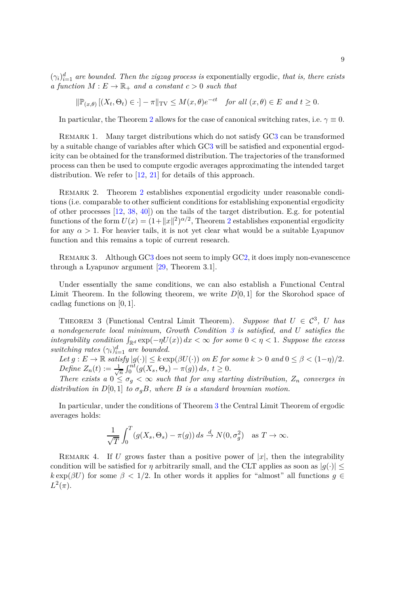$(\gamma_i)_{i=1}^d$  are bounded. Then the zigzag process is exponentially ergodic, that is, there exists *a function*  $M: E \to \mathbb{R}_+$  *and a constant*  $c > 0$  *such that* 

$$
\|\mathbb{P}_{(x,\theta)}\left[(X_t,\Theta_t)\in\cdot\right]-\pi\|_{\text{TV}}\leq M(x,\theta)e^{-ct} \quad \text{for all } (x,\theta)\in E \text{ and } t\geq 0.
$$

In particular, the Theorem [2](#page-7-3) allows for the case of canonical switching rates, i.e.  $\gamma \equiv 0$ .

REMARK 1. Many target distributions which do not satisfy G[C3](#page-7-2) can be transformed by a suitable change of variables after which G[C3](#page-7-2) will be satisfied and exponential ergodicity can be obtained for the transformed distribution. The trajectories of the transformed process can then be used to compute ergodic averages approximating the intended target distribution. We refer to [\[12,](#page-32-15) [21\]](#page-32-17) for details of this approach.

REMARK [2](#page-7-3). Theorem 2 establishes exponential ergodicity under reasonable conditions (i.e. comparable to other sufficient conditions for establishing exponential ergodicity of other processes [\[12,](#page-32-15) [38,](#page-33-8) [40\]](#page-33-9)) on the tails of the target distribution. E.g. for potential functions of the form  $U(x) = (1 + ||x||^2)^{\alpha/2}$  $U(x) = (1 + ||x||^2)^{\alpha/2}$  $U(x) = (1 + ||x||^2)^{\alpha/2}$ , Theorem 2 establishes exponential ergodicity for any  $\alpha > 1$ . For heavier tails, it is not yet clear what would be a suitable Lyapunov function and this remains a topic of current research.

REMARK 3. Although G[C3](#page-7-2) does not seem to imply G[C2,](#page-7-0) it does imply non-evanescence through a Lyapunov argument [\[29,](#page-32-18) Theorem 3.1].

Under essentially the same conditions, we can also establish a Functional Central Limit Theorem. In the following theorem, we write *D*[0*,* 1] for the Skorohod space of cadlag functions on [0*,* 1].

<span id="page-8-0"></span>THEOREM 3 (Functional Central Limit Theorem). Suppose that  $U \in C^3$ , U has *a nondegenerate local minimum, Growth Condition [3](#page-7-2) is satisfied, and U satisfies the integrability condition*  $\int_{\mathbb{R}^d} \exp(-\eta U(x)) dx < \infty$  for some  $0 < \eta < 1$ . Suppose the excess *switching rates*  $(\gamma_i)_{i=1}^d$  *are bounded.* 

 $Let g: E \to \mathbb{R} \text{ satisfy } |g(\cdot)| \leq k \exp(\beta U(\cdot)) \text{ on } E \text{ for some } k > 0 \text{ and } 0 \leq \beta < (1 - \eta)/2.$ *Define*  $Z_n(t) := \frac{1}{\sqrt{2}}$  $\frac{1}{n} \int_0^{nt} (g(X_s, \Theta_s) - \pi(g)) ds, t \ge 0.$ 

*There exists a*  $0 \leq \sigma_g < \infty$  *such that for any starting distribution,*  $Z_n$  *converges in distribution in*  $D[0, 1]$  *to*  $\sigma_q B$ *, where B is a standard brownian motion.* 

In particular, under the conditions of Theorem [3](#page-8-0) the Central Limit Theorem of ergodic averages holds:

$$
\frac{1}{\sqrt{T}} \int_0^T (g(X_s, \Theta_s) - \pi(g)) ds \stackrel{d}{\to} N(0, \sigma_g^2) \quad \text{as } T \to \infty.
$$

REMARK 4. If *U* grows faster than a positive power of  $|x|$ , then the integrability condition will be satisfied for *η* arbitrarily small, and the CLT applies as soon as  $|g(\cdot)| \leq$  $k \exp(\beta U)$  for some  $\beta < 1/2$ . In other words it applies for "almost" all functions  $g \in$  $L^2(\pi)$ .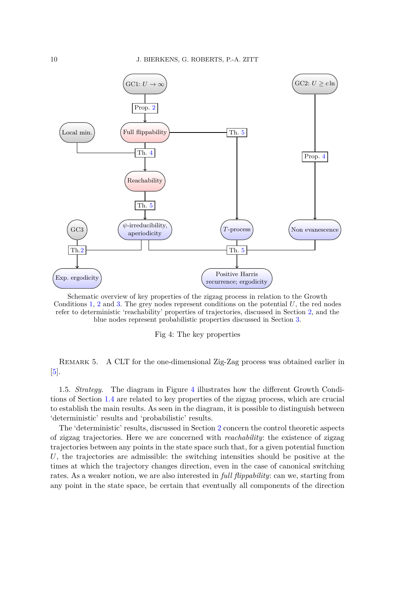<span id="page-9-0"></span>

Schematic overview of key properties of the zigzag process in relation to the Growth Conditions [1,](#page-7-4) [2](#page-7-0) and [3.](#page-7-2) The grey nodes represent conditions on the potential *U*, the red nodes refer to deterministic 'reachability' properties of trajectories, discussed in Section [2,](#page-10-0) and the blue nodes represent probabilistic properties discussed in Section [3.](#page-19-0)

Fig 4: The key properties

Remark 5. A CLT for the one-dimensional Zig-Zag process was obtained earlier in [\[5\]](#page-31-2).

1.5. *Strategy.* The diagram in Figure [4](#page-9-0) illustrates how the different Growth Conditions of Section [1.4](#page-7-5) are related to key properties of the zigzag process, which are crucial to establish the main results. As seen in the diagram, it is possible to distinguish between 'deterministic' results and 'probabilistic' results.

The 'deterministic' results, discussed in Section [2](#page-10-0) concern the control theoretic aspects of zigzag trajectories. Here we are concerned with *reachability*: the existence of zigzag trajectories between any points in the state space such that, for a given potential function *U*, the trajectories are admissible: the switching intensities should be positive at the times at which the trajectory changes direction, even in the case of canonical switching rates. As a weaker notion, we are also interested in *full flippability*: can we, starting from any point in the state space, be certain that eventually all components of the direction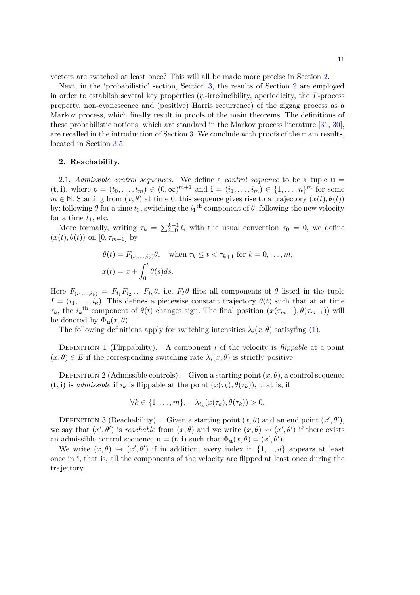vectors are switched at least once? This will all be made more precise in Section [2.](#page-10-0)

Next, in the 'probabilistic' section, Section [3,](#page-19-0) the results of Section [2](#page-10-0) are employed in order to establish several key properties  $(\psi$ -irreducibility, aperiodicity, the *T*-process property, non-evanescence and (positive) Harris recurrence) of the zigzag process as a Markov process, which finally result in proofs of the main theorems. The definitions of these probabilistic notions, which are standard in the Markov process literature [\[31,](#page-32-0) [30\]](#page-32-1), are recalled in the introduction of Section [3.](#page-19-0) We conclude with proofs of the main results, located in Section [3.5.](#page-31-7)

### <span id="page-10-0"></span>**2. Reachability.**

2.1. *Admissible control sequences.* We define a *control sequence* to be a tuple **u** =  $(\mathbf{t}, \mathbf{i})$ , where  $\mathbf{t} = (t_0, \dots, t_m) \in (0, \infty)^{m+1}$  and  $\mathbf{i} = (i_1, \dots, i_m) \in \{1, \dots, n\}^m$  for some  $m \in \mathbb{N}$ . Starting from  $(x, \theta)$  at time 0, this sequence gives rise to a trajectory  $(x(t), \theta(t))$ by: following  $\theta$  for a time  $t_0$ , switching the  $i_1$ <sup>th</sup> component of  $\theta$ , following the new velocity for a time  $t_1$ , etc.

More formally, writing  $\tau_k = \sum_{i=0}^{k-1} t_i$  with the usual convention  $\tau_0 = 0$ , we define  $(x(t), \theta(t))$  on  $[0, \tau_{m+1}]$  by

$$
\theta(t) = F_{(i_1,\dots,i_k)}\theta, \quad \text{when } \tau_k \le t < \tau_{k+1} \text{ for } k = 0,\dots,m,
$$
  

$$
x(t) = x + \int_0^t \theta(s)ds.
$$

Here  $F_{(i_1,...,i_k)} = F_{i_1}F_{i_2}...F_{i_k}\theta$ , i.e.  $F_I\theta$  flips all components of  $\theta$  listed in the tuple  $I = (i_1, \ldots, i_k)$ . This defines a piecewise constant trajectory  $\theta(t)$  such that at at time *τ*<sub>*k*</sub>, the *i*<sub>*k*</sub><sup>th</sup> component of *θ*(*t*) changes sign. The final position  $(x(\tau_{m+1}), \theta(\tau_{m+1}))$  will be denoted by  $\Phi_{\mathbf{u}}(x,\theta)$ .

The following definitions apply for switching intensities  $\lambda_i(x, \theta)$  satisyfing [\(1\)](#page-2-1).

DEFINITION 1 (Flippability). A component *i* of the velocity is *flippable* at a point  $(x, \theta) \in E$  if the corresponding switching rate  $\lambda_i(x, \theta)$  is strictly positive.

DEFINITION 2 (Admissible controls). Given a starting point  $(x, \theta)$ , a control sequence  $(\mathbf{t}, \mathbf{i})$  is *admissible* if  $i_k$  is flippable at the point  $(x(\tau_k), \theta(\tau_k))$ , that is, if

$$
\forall k \in \{1, \ldots, m\}, \quad \lambda_{i_k}(x(\tau_k), \theta(\tau_k)) > 0.
$$

DEFINITION 3 (Reachability). Given a starting point  $(x, \theta)$  and an end point  $(x', \theta')$ , we say that  $(x', \theta')$  is *reachable* from  $(x, \theta)$  and we write  $(x, \theta) \rightsquigarrow (x', \theta')$  if there exists an admissible control sequence  $\mathbf{u} = (\mathbf{t}, \mathbf{i})$  such that  $\Phi_{\mathbf{u}}(x, \theta) = (x', \theta').$ 

We write  $(x, \theta) \leftrightarrow (x', \theta')$  if in addition, every index in  $\{1, ..., d\}$  appears at least once in **i**, that is, all the components of the velocity are flipped at least once during the trajectory.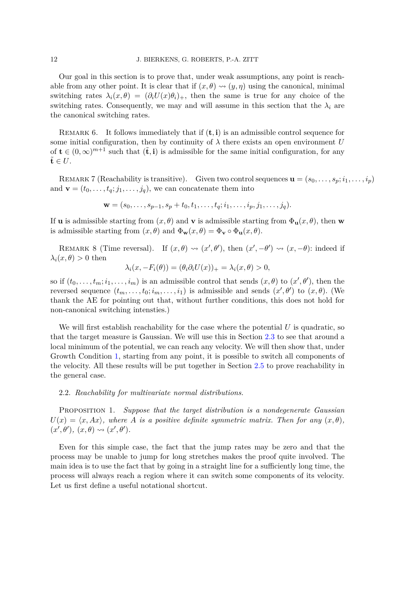Our goal in this section is to prove that, under weak assumptions, any point is reachable from any other point. It is clear that if  $(x, \theta) \rightsquigarrow (y, \eta)$  using the canonical, minimal switching rates  $\lambda_i(x, \theta) = (\partial_i U(x) \theta_i)_+,$  then the same is true for any choice of the switching rates. Consequently, we may and will assume in this section that the  $\lambda_i$  are the canonical switching rates.

Remark 6. It follows immediately that if (**t***,* **i**) is an admissible control sequence for some initial configuration, then by continuity of  $\lambda$  there exists an open environment *U* of  $\mathbf{t} \in (0, \infty)^{m+1}$  such that  $(\tilde{\mathbf{t}}, \mathbf{i})$  is admissible for the same initial configuration, for any  $\tilde{\mathbf{t}} \in U.$ 

REMARK 7 (Reachability is transitive). Given two control sequences  $\mathbf{u} = (s_0, \ldots, s_p; i_1, \ldots, i_p)$ and  $\mathbf{v} = (t_0, \ldots, t_q; j_1, \ldots, j_q)$ , we can concatenate them into

$$
\mathbf{w} = (s_0, \dots, s_{p-1}, s_p + t_0, t_1, \dots, t_q; i_1, \dots, i_p, j_1, \dots, j_q).
$$

If **u** is admissible starting from  $(x, \theta)$  and **v** is admissible starting from  $\Phi_{\mathbf{u}}(x, \theta)$ , then **w** is admissible starting from  $(x, \theta)$  and  $\Phi_{\mathbf{w}}(x, \theta) = \Phi_{\mathbf{v}} \circ \Phi_{\mathbf{u}}(x, \theta)$ .

<span id="page-11-1"></span>REMARK 8 (Time reversal). If  $(x, \theta) \rightsquigarrow (x', \theta')$ , then  $(x', -\theta') \rightsquigarrow (x, -\theta)$ : indeed if  $\lambda_i(x, \theta) > 0$  then

$$
\lambda_i(x, -F_i(\theta)) = (\theta_i \partial_i U(x))_+ = \lambda_i(x, \theta) > 0,
$$

so if  $(t_0, \ldots, t_m; i_1, \ldots, i_m)$  is an admissible control that sends  $(x, \theta)$  to  $(x', \theta')$ , then the reversed sequence  $(t_m, \ldots, t_0; i_m, \ldots, i_1)$  is admissible and sends  $(x', \theta')$  to  $(x, \theta)$ . (We thank the AE for pointing out that, without further conditions, this does not hold for non-canonical switching intensties.)

We will first establish reachability for the case where the potential  $U$  is quadratic, so that the target measure is Gaussian. We will use this in Section [2.3](#page-15-0) to see that around a local minimum of the potential, we can reach any velocity. We will then show that, under Growth Condition [1,](#page-7-4) starting from any point, it is possible to switch all components of the velocity. All these results will be put together in Section [2.5](#page-17-0) to prove reachability in the general case.

## 2.2. *Reachability for multivariate normal distributions.*

<span id="page-11-0"></span>Proposition 1. *Suppose that the target distribution is a nondegenerate Gaussian*  $U(x) = \langle x, Ax \rangle$ , where *A* is a positive definite symmetric matrix. Then for any  $(x, \theta)$ ,  $(x', \theta'), (x, \theta) \rightsquigarrow (x', \theta').$ 

Even for this simple case, the fact that the jump rates may be zero and that the process may be unable to jump for long stretches makes the proof quite involved. The main idea is to use the fact that by going in a straight line for a sufficiently long time, the process will always reach a region where it can switch some components of its velocity. Let us first define a useful notational shortcut.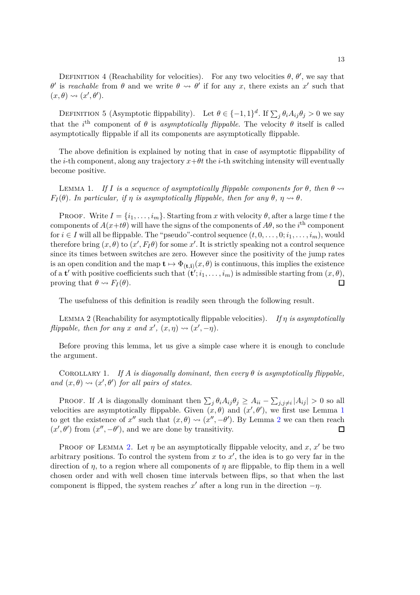DEFINITION 4 (Reachability for velocities). For any two velocities  $\theta$ ,  $\theta'$ , we say that *θ*' is *reachable* from *θ* and we write  $\theta \leftrightarrow \theta'$  if for any *x*, there exists an *x*' such that  $(x, \theta) \rightsquigarrow (x', \theta').$ 

DEFINITION 5 (Asymptotic flippability). Let  $\theta \in \{-1, 1\}^d$ . If  $\sum_j \theta_i A_{ij} \theta_j > 0$  we say that the *i*<sup>th</sup> component of  $\theta$  is *asymptotically flippable*. The velocity  $\theta$  itself is called asymptotically flippable if all its components are asymptotically flippable.

The above definition is explained by noting that in case of asymptotic flippability of the *i*-th component, along any trajectory  $x+\theta t$  the *i*-th switching intensity will eventually become positive.

<span id="page-12-0"></span>LEMMA 1. *If I* is a sequence of asymptotically flippable components for  $\theta$ , then  $\theta \rightarrow$ *F*<sub>I</sub>( $\theta$ ). In particular, if *n* is asymptotically flippable, then for any  $\theta$ ,  $\eta \rightarrow \theta$ .

PROOF. Write  $I = \{i_1, \ldots, i_m\}$ . Starting from *x* with velocity  $\theta$ , after a large time *t* the components of  $A(x+t\theta)$  will have the signs of the components of  $A\theta$ , so the *i*<sup>th</sup> component for  $i \in I$  will all be flippable. The "pseudo"-control sequence  $(t, 0, \ldots, 0; i_1, \ldots, i_m)$ , would therefore bring  $(x, \theta)$  to  $(x', F_I \theta)$  for some  $x'$ . It is strictly speaking not a control sequence since its times between switches are zero. However since the positivity of the jump rates is an open condition and the map  $t \mapsto \Phi_{(t,i)}(x, \theta)$  is continuous, this implies the existence of a **t**' with positive coefficients such that  $(\mathbf{t}'; i_1, \ldots, i_m)$  is admissible starting from  $(x, \theta)$ , proving that  $\theta \rightsquigarrow F_I(\theta)$ .  $\Box$ 

The usefulness of this definition is readily seen through the following result.

<span id="page-12-1"></span>Lemma 2 (Reachability for asymptotically flippable velocities). *If η is asymptotically flippable, then for any x and*  $x'$ ,  $(x, \eta) \rightsquigarrow (x', -\eta)$ *.* 

Before proving this lemma, let us give a simple case where it is enough to conclude the argument.

COROLLARY 1. *If*  $A$  *is diagonally dominant, then every*  $\theta$  *is asymptotically flippable, and*  $(x, \theta) \rightarrow (x', \theta')$  *for all pairs of states.* 

PROOF. If *A* is diagonally dominant then  $\sum_j \theta_i A_{ij} \theta_j \geq A_{ii} - \sum_{j,j \neq i} |A_{ij}| > 0$  so all velocities are asymptotically flippable. Given  $(x, \theta)$  and  $(x', \theta')$ , we first use Lemma [1](#page-12-0) to get the existence of  $x''$  such that  $(x, \theta) \leadsto (x'', -\theta')$ . By Lemma [2](#page-12-1) we can then reach  $(x', \theta')$  from  $(x'', -\theta')$ , and we are done by transitivity.  $\Box$ 

PROOF OF LEMMA [2.](#page-12-1) Let  $\eta$  be an asymptotically flippable velocity, and  $x, x'$  be two arbitrary positions. To control the system from  $x$  to  $x'$ , the idea is to go very far in the direction of *η*, to a region where all components of *η* are flippable, to flip them in a well chosen order and with well chosen time intervals between flips, so that when the last component is flipped, the system reaches  $x'$  after a long run in the direction  $-\eta$ .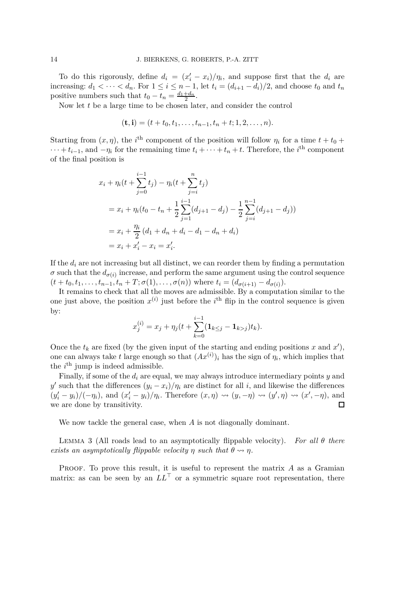To do this rigorously, define  $d_i = (x'_i - x_i)/\eta_i$ , and suppose first that the  $d_i$  are increasing:  $d_1 < \cdots < d_n$ . For  $1 \leq i \leq n-1$ , let  $t_i = (d_{i+1} - d_i)/2$ , and choose  $t_0$  and  $t_n$ positive numbers such that  $t_0 - t_n = \frac{d_1 + d_n}{2}$ .

Now let *t* be a large time to be chosen later, and consider the control

$$
(\mathbf{t},\mathbf{i})=(t+t_0,t_1,\ldots,t_{n-1},t_n+t;1,2,\ldots,n).
$$

Starting from  $(x, \eta)$ , the *i*<sup>th</sup> component of the position will follow  $\eta_i$  for a time  $t + t_0 +$  $\cdots + t_{i-1}$ , and  $-\eta_i$  for the remaining time  $t_i + \cdots + t_n + t$ . Therefore, the *i*<sup>th</sup> component of the final position is

$$
x_i + \eta_i(t + \sum_{j=0}^{i-1} t_j) - \eta_i(t + \sum_{j=i}^n t_j)
$$
  
=  $x_i + \eta_i(t_0 - t_n + \frac{1}{2} \sum_{j=1}^{i-1} (d_{j+1} - d_j) - \frac{1}{2} \sum_{j=i}^{n-1} (d_{j+1} - d_j))$   
=  $x_i + \frac{\eta_i}{2} (d_1 + d_n + d_i - d_1 - d_n + d_i)$   
=  $x_i + x'_i - x_i = x'_i$ .

If the  $d_i$  are not increasing but all distinct, we can reorder them by finding a permutation  $\sigma$  such that the  $d_{\sigma(i)}$  increase, and perform the same argument using the control sequence  $(t + t_0, t_1, \ldots, t_{n-1}, t_n + T; \sigma(1), \ldots, \sigma(n))$  where  $t_i = (d_{\sigma(i+1)} - d_{\sigma(i)})$ .

It remains to check that all the moves are admissible. By a computation similar to the one just above, the position  $x^{(i)}$  just before the *i*<sup>th</sup> flip in the control sequence is given by:

$$
x_j^{(i)} = x_j + \eta_j(t + \sum_{k=0}^{i-1} (\mathbf{1}_{k \le j} - \mathbf{1}_{k > j}) t_k).
$$

Once the  $t_k$  are fixed (by the given input of the starting and ending positions  $x$  and  $x'$ ), one can always take *t* large enough so that  $(Ax^{(i)})_i$  has the sign of  $\eta_i$ , which implies that the  $i^{\text{th}}$  jump is indeed admissible.

Finally, if some of the *d<sup>i</sup>* are equal, we may always introduce intermediary points *y* and *y*  $y'$  such that the differences  $(y_i - x_i)/\eta_i$  are distinct for all *i*, and likewise the differences  $(y'_i-y_i)/(-\eta_i)$ , and  $(x'_i-y_i)/\eta_i$ . Therefore  $(x,\eta) \rightsquigarrow (y,-\eta) \rightsquigarrow (y',\eta) \rightsquigarrow (x',-\eta)$ , and we are done by transitivity.

We now tackle the general case, when *A* is not diagonally dominant.

<span id="page-13-0"></span>Lemma 3 (All roads lead to an asymptotically flippable velocity). *For all θ there exists an asymptotically flippable velocity*  $\eta$  *such that*  $\theta \rightsquigarrow \eta$ *.* 

Proof. To prove this result, it is useful to represent the matrix *A* as a Gramian matrix: as can be seen by an  $LL^{\top}$  or a symmetric square root representation, there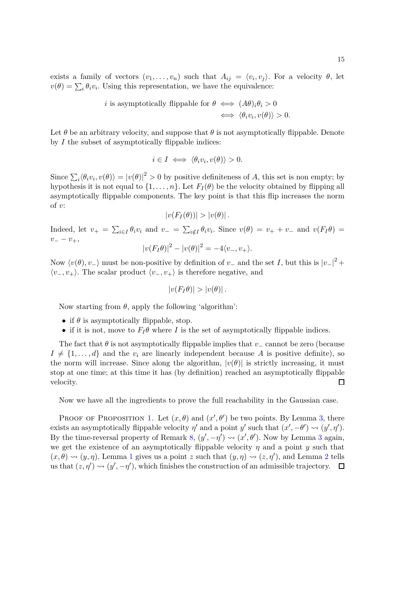*i* is asymptotically flipped  
be for 
$$
\theta \iff (A\theta)_i \theta_i > 0
$$
  
 $\iff \langle \theta_i v_i, v(\theta) \rangle > 0.$ 

Let  $\theta$  be an arbitrary velocity, and suppose that  $\theta$  is not asymptotically flippable. Denote by *I* the subset of asymptotically flippable indices:

$$
i \in I \iff \langle \theta_i v_i, v(\theta) \rangle > 0.
$$

Since  $\sum_i \langle \theta_i v_i, v(\theta) \rangle = |v(\theta)|^2 > 0$  by positive definiteness of *A*, this set is non empty; by hypothesis it is not equal to  $\{1, \ldots, n\}$ . Let  $F_I(\theta)$  be the velocity obtained by flipping all asymptotically flippable components. The key point is that this flip increases the norm of *v*:

$$
|v(F_I(\theta))| > |v(\theta)|.
$$

Indeed, let  $v_+ = \sum_{i \in I} \theta_i v_i$  and  $v_- = \sum_{i \notin I} \theta_i v_i$ . Since  $v(\theta) = v_+ + v_-$  and  $v(F_I \theta) =$ *v*− − *v*+,

$$
|v(F_I\theta)|^2 - |v(\theta)|^2 = -4\langle v_-, v_+\rangle.
$$

Now  $\langle v(\theta), v_-\rangle$  must be non-positive by definition of *v*<sub>−</sub> and the set *I*, but this is  $|v_-|^2 +$  $\langle v_-, v_+ \rangle$ . The scalar product  $\langle v_-, v_+ \rangle$  is therefore negative, and

$$
|v(F_I\theta)|>|v(\theta)|.
$$

Now starting from *θ*, apply the following 'algorithm':

- if  $\theta$  is asymptotically flippable, stop.
- if it is not, move to  $F_I\theta$  where *I* is the set of asymptotically flippable indices.

The fact that  $\theta$  is not asymptotically flippable implies that *v*− cannot be zero (because  $I \neq \{1, \ldots, d\}$  and the  $v_i$  are linearly independent because *A* is positive definite), so the norm will increase. Since along the algorithm,  $|v(\theta)|$  is strictly increasing, it must stop at one time; at this time it has (by definition) reached an asymptotically flippable velocity.  $\Box$ 

Now we have all the ingredients to prove the full reachability in the Gaussian case.

PROOF OF PROPOSITION [1.](#page-11-0) Let  $(x, \theta)$  and  $(x', \theta')$  be two points. By Lemma [3,](#page-13-0) there exists an asymptotically flippable velocity  $\eta'$  and a point *y'* such that  $(x', -\theta') \leadsto (y', \eta')$ . By the time-reversal property of Remark [8,](#page-11-1)  $(y', -\eta') \leadsto (x', \theta')$ . Now by Lemma [3](#page-13-0) again, we get the existence of an asymptotically flippable velocity  $\eta$  and a point  $\eta$  such that  $(x, \theta) \rightsquigarrow (y, \eta)$ . Lemma [1](#page-12-0) gives us a point *z* such that  $(y, \eta) \rightsquigarrow (z, \eta')$ , and Lemma [2](#page-12-1) tells us that  $(z, \eta') \rightsquigarrow (y', -\eta')$ , which finishes the construction of an admissible trajectory.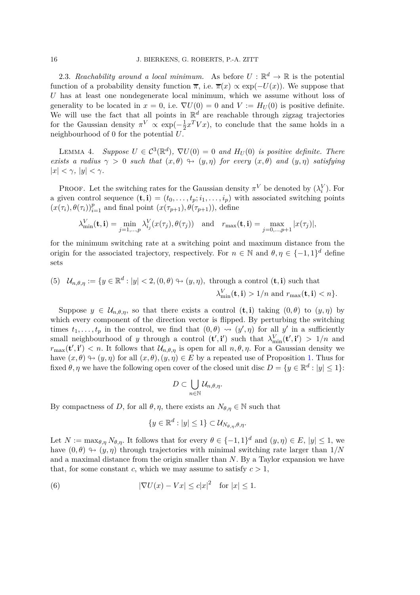<span id="page-15-0"></span>2.3. *Reachability around a local minimum.* As before  $U: \mathbb{R}^d \to \mathbb{R}$  is the potential function of a probability density function  $\overline{\pi}$ , i.e.  $\overline{\pi}(x) \propto \exp(-U(x))$ . We suppose that *U* has at least one nondegenerate local minimum, which we assume without loss of generality to be located in  $x = 0$ , i.e.  $\nabla U(0) = 0$  and  $V := H_U(0)$  is positive definite. We will use the fact that all points in  $\mathbb{R}^d$  are reachable through zigzag trajectories for the Gaussian density  $\pi^V \propto \exp(-\frac{1}{2})$  $\frac{1}{2}x^T V x$ , to conclude that the same holds in a neighbourhood of 0 for the potential *U*.

<span id="page-15-2"></span>LEMMA 4. *Suppose*  $U \in C^3(\mathbb{R}^d)$ ,  $\nabla U(0) = 0$  and  $H_U(0)$  is positive definite. There *exists a radius*  $\gamma > 0$  *such that*  $(x, \theta) \rightarrow (y, \eta)$  *for every*  $(x, \theta)$  *and*  $(y, \eta)$  *satisfying*  $|x| < \gamma$ *,*  $|y| < \gamma$ *.* 

PROOF. Let the switching rates for the Gaussian density  $\pi^V$  be denoted by  $(\lambda_i^V)$ . For a given control sequence  $(\mathbf{t}, \mathbf{i}) = (t_0, \ldots, t_p; i_1, \ldots, i_p)$  with associated switching points  $(x(\tau_i), \theta(\tau_i))_{i=1}^p$  and final point  $(x(\tau_{p+1}), \theta(\tau_{p+1}))$ , define

$$
\lambda_{\min}^V(\mathbf{t}, \mathbf{i}) = \min_{j=1,\dots,p} \lambda_{i_j}^V(x(\tau_j), \theta(\tau_j)) \text{ and } r_{\max}(\mathbf{t}, \mathbf{i}) = \max_{j=0,\dots,p+1} |x(\tau_j)|,
$$

for the minimum switching rate at a switching point and maximum distance from the origin for the associated trajectory, respectively. For  $n \in \mathbb{N}$  and  $\theta, \eta \in \{-1, 1\}^d$  define sets

(5) 
$$
\mathcal{U}_{n,\theta,\eta} := \{ y \in \mathbb{R}^d : |y| < 2, (0,\theta) \leftrightarrow (y,\eta), \text{ through a control } (\mathbf{t}, \mathbf{i}) \text{ such that } \lambda_{\min}^V(\mathbf{t}, \mathbf{i}) > 1/n \text{ and } r_{\max}(\mathbf{t}, \mathbf{i}) < n \}.
$$

Suppose  $y \in \mathcal{U}_{n,\theta,\eta}$ , so that there exists a control  $(\mathbf{t},\mathbf{i})$  taking  $(0,\theta)$  to  $(y,\eta)$  by which every component of the direction vector is flipped. By perturbing the switching times  $t_1, \ldots, t_p$  in the control, we find that  $(0, \theta) \rightsquigarrow (y', \eta)$  for all  $y'$  in a sufficiently small neighbourhood of *y* through a control  $(\mathbf{t}', \mathbf{i}')$  such that  $\lambda_{\min}^V(\mathbf{t}', \mathbf{i}') > 1/n$  and  $r_{\text{max}}(\mathbf{t}', \mathbf{i}') < n$ . It follows that  $\mathcal{U}_{n,\theta,\eta}$  is open for all  $n,\theta,\eta$ . For a Gaussian density we have  $(x, \theta) \rightarrow (y, \eta)$  for all  $(x, \theta), (y, \eta) \in E$  by a repeated use of Proposition [1.](#page-11-0) Thus for fixed  $\theta$ ,  $\eta$  we have the following open cover of the closed unit disc  $D = \{y \in \mathbb{R}^d : |y| \le 1\}$ :

$$
D\subset \bigcup_{n\in\mathbb{N}}\mathcal{U}_{n,\theta,\eta}.
$$

By compactness of *D*, for all  $\theta$ ,  $\eta$ , there exists an  $N_{\theta,\eta} \in \mathbb{N}$  such that

<span id="page-15-1"></span>
$$
\{y \in \mathbb{R}^d : |y| \le 1\} \subset \mathcal{U}_{N_{\theta,\eta},\theta,\eta}.
$$

Let  $N := \max_{\theta, \eta} N_{\theta, \eta}$ . It follows that for every  $\theta \in \{-1, 1\}^d$  and  $(y, \eta) \in E$ ,  $|y| \leq 1$ , we have  $(0, \theta) \leftrightarrow (y, \eta)$  through trajectories with minimal switching rate larger than  $1/N$ and a maximal distance from the origin smaller than *N*. By a Taylor expansion we have that, for some constant *c*, which we may assume to satisfy  $c > 1$ ,

(6) 
$$
|\nabla U(x) - Vx| \leq c|x|^2 \quad \text{for } |x| \leq 1.
$$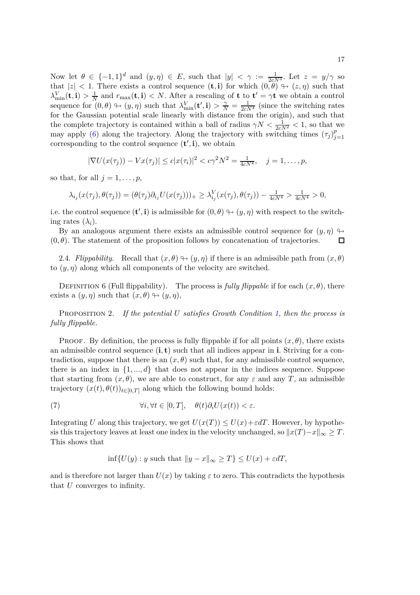Now let  $\theta \in \{-1, 1\}^d$  and  $(y, \eta) \in E$ , such that  $|y| < \gamma := \frac{1}{2cN^3}$ . Let  $z = y/\gamma$  so that  $|z| < 1$ . There exists a control sequence  $(\mathbf{t}, \mathbf{i})$  for which  $(0, \theta) \leftrightarrow (z, \eta)$  such that  $\lambda_{\min}^V(\mathbf{t}, \mathbf{i}) > \frac{1}{N}$  $\frac{1}{N}$  and  $r_{\text{max}}(\mathbf{t}, \mathbf{i}) < N$ . After a rescaling of **t** to  $\mathbf{t}' = \gamma \mathbf{t}$  we obtain a control sequence for  $(0, \theta) \rightarrow (y, \eta)$  such that  $\lambda_{\min}^V(\mathbf{t}', \mathbf{i}) > \frac{\gamma}{N} = \frac{1}{2cN^4}$  (since the switching rates for the Gaussian potential scale linearly with distance from the origin), and such that the complete trajectory is contained within a ball of radius  $\gamma N < \frac{1}{2cN^2} < 1$ , so that we may apply [\(6\)](#page-15-1) along the trajectory. Along the trajectory with switching times  $(\tau_j)_{i=1}^p$ *j*=1 corresponding to the control sequence  $(\mathbf{t}', \mathbf{i})$ , we obtain

$$
|\nabla U(x(\tau_j)) - Vx(\tau_j)| \le c|x(\tau_i)|^2 < c\gamma^2 N^2 = \frac{1}{4cN^4}, \quad j = 1, ..., p,
$$

so that, for all  $j = 1, \ldots, p$ ,

$$
\lambda_{i_j}(x(\tau_j),\theta(\tau_j)) = (\theta(\tau_j)\partial_{i_j}U(x(\tau_j)))_+ \geq \lambda_{i_j}^V(x(\tau_j),\theta(\tau_j)) - \frac{1}{4cN^4} > \frac{1}{4cN^4} > 0,
$$

i.e. the control sequence  $(\mathbf{t}', \mathbf{i})$  is admissible for  $(0, \theta) \rightarrow (y, \eta)$  with respect to the switching rates  $(\lambda_i)$ .

By an analogous argument there exists an admissible control sequence for  $(y, \eta) \rightarrow$  $(0, \theta)$ . The statement of the proposition follows by concatenation of trajectories.  $\Box$ 

2.4. *Flippability.* Recall that  $(x, \theta) \rightarrow (y, \eta)$  if there is an admissible path from  $(x, \theta)$ to  $(y, \eta)$  along which all components of the velocity are switched.

<span id="page-16-2"></span>DEFINITION 6 (Full flippability). The process is *fully flippable* if for each  $(x, \theta)$ , there exists a  $(y, \eta)$  such that  $(x, \theta) \rightarrow (y, \eta)$ ,

<span id="page-16-0"></span>Proposition 2. *If the potential U satisfies Growth Condition [1,](#page-7-4) then the process is fully flippable.*

PROOF. By definition, the process is fully flippable if for all points  $(x, \theta)$ , there exists an admissible control sequence  $(i, t)$  such that all indices appear in **i**. Striving for a contradiction, suppose that there is an  $(x, \theta)$  such that, for any admissible control sequence, there is an index in  $\{1, ..., d\}$  that does not appear in the indices sequence. Suppose that starting from  $(x, \theta)$ , we are able to construct, for any  $\varepsilon$  and any *T*, an admissible trajectory  $(x(t), \theta(t))_{t \in [0,T]}$  along which the following bound holds:

(7) 
$$
\forall i, \forall t \in [0, T], \quad \theta(t)\partial_i U(x(t)) < \varepsilon.
$$

Integrating *U* along this trajectory, we get  $U(x(T)) \leq U(x) + \varepsilon dT$ . However, by hypothesis this trajectory leaves at least one index in the velocity unchanged, so  $||x(T)-x||_{\infty} \geq T$ . This shows that

<span id="page-16-1"></span>
$$
\inf \{ U(y) : y \text{ such that } ||y - x||_{\infty} \ge T \} \le U(x) + \varepsilon dT,
$$

and is therefore not larger than  $U(x)$  by taking  $\varepsilon$  to zero. This contradicts the hypothesis that *U* converges to infinity.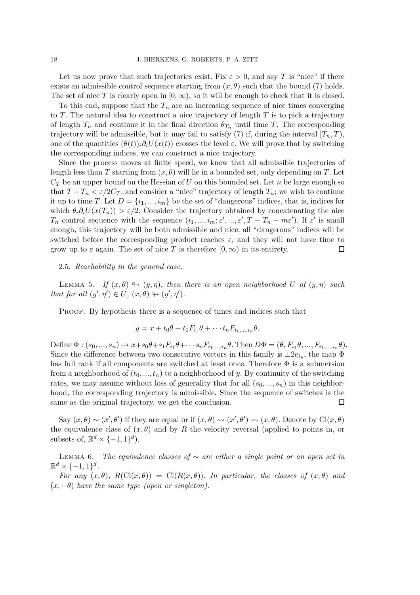Let us now prove that such trajectories exist. Fix  $\varepsilon > 0$ , and say T is "nice" if there exists an admissible control sequence starting from  $(x, \theta)$  such that the bound [\(7\)](#page-16-1) holds. The set of nice *T* is clearly open in  $[0, \infty)$ , so it will be enough to check that it is closed.

To this end, suppose that the  $T<sub>n</sub>$  are an increasing sequence of nice times converging to *T*. The natural idea to construct a nice trajectory of length *T* is to pick a trajectory of length  $T_n$  and continue it in the final direction  $\theta_{T_n}$  until time *T*. The corresponding trajectory will be admissible, but it may fail to satisfy  $(7)$  if, during the interval  $[T_n, T)$ , one of the quantities  $(\theta(t))$ *<sub>i</sub>* $\partial_i U(x(t))$  crosses the level  $\varepsilon$ . We will prove that by switching the corresponding indices, we can construct a nice trajectory.

Since the process moves at finite speed, we know that all admissible trajectories of length less than *T* starting from  $(x, \theta)$  will lie in a bounded set, only depending on *T*. Let  $C_T$  be an upper bound on the Hessian of *U* on this bounded set. Let *n* be large enough so that  $T - T_n < \varepsilon/2C_T$ , and consider a "nice" trajectory of length  $T_n$ ; we wish to continue it up to time *T*. Let  $D = \{i_1, ..., i_m\}$  be the set of "dangerous" indices, that is, indices for which  $\theta_i \partial_i U(x(T_n)) > \varepsilon/2$ . Consider the trajectory obtained by concatenating the nice *T<sub>n</sub>* control sequence with the sequence  $(i_1, ..., i_m; \varepsilon', ..., \varepsilon', T - T_n - m\varepsilon')$ . If  $\varepsilon'$  is small enough, this trajectory will be both admissible and nice: all "dangerous" indices will be switched before the corresponding product reaches  $\varepsilon$ , and they will not have time to grow up to  $\varepsilon$  again. The set of nice T is therefore  $[0,\infty)$  in its entirety.  $\Box$ 

#### <span id="page-17-0"></span>2.5. *Reachability in the general case.*

<span id="page-17-1"></span>LEMMA 5. *If*  $(x, \theta) \rightarrow (y, \eta)$ *, then there is an open neighborhood U of*  $(y, \eta)$  *such that for all*  $(y', \eta') \in U$ *,*  $(x, \theta) \rightarrow (y', \eta')$ *.* 

PROOF. By hypothesis there is a sequence of times and indices such that

$$
y = x + t_0 \theta + t_1 F_{i_1} \theta + \cdots + t_n F_{i_1, \ldots, i_n} \theta.
$$

Define  $\Phi : (s_0, ..., s_n) \mapsto x + s_0 \theta + s_1 F_{i_1} \theta + \cdots + s_n F_{i_1, ..., i_n} \theta$ . Then  $D\Phi = (\theta, F_{i_1} \theta, ..., F_{i_1, ..., i_n} \theta)$ . Since the difference between two consecutive vectors in this family is  $\pm 2e_{i_k}$ , the map  $\Phi$ has full rank if all components are switched at least once. Therefore  $\Phi$  is a submersion from a neighborhood of  $(t_0, ..., t_n)$  to a neighborhood of *y*. By continuity of the switching rates, we may assume without loss of generality that for all  $(s_0, ..., s_n)$  in this neighborhood, the corresponding trajectory is admissible. Since the sequence of switches is the same as the original trajectory, we get the conclusion.  $\Box$ 

Say  $(x, \theta) \sim (x', \theta')$  if they are equal or if  $(x, \theta) \rightsquigarrow (x', \theta') \rightsquigarrow (x, \theta)$ . Denote by Cl $(x, \theta)$ the equivalence class of  $(x, \theta)$  and by R the velocity reversal (applied to points in, or subsets of,  $\mathbb{R}^d \times \{-1, 1\}^d$ ).

<span id="page-17-2"></span>Lemma 6. *The equivalence classes of* ∼ *are either a single point or an open set in*  $\mathbb{R}^d \times \{-1,1\}^d$ .

*For any*  $(x, \theta)$ *,*  $R(Cl(x, \theta)) = Cl(R(x, \theta))$ *. In particular, the classes of*  $(x, \theta)$  *and*  $(x, -\theta)$  *have the same type (open or singleton).*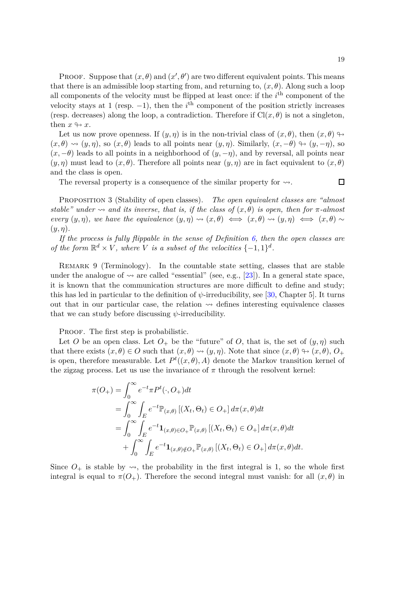PROOF. Suppose that  $(x, \theta)$  and  $(x', \theta')$  are two different equivalent points. This means that there is an admissible loop starting from, and returning to,  $(x, \theta)$ . Along such a loop all components of the velocity must be flipped at least once: if the *i*<sup>th</sup> component of the velocity stays at 1 (resp.  $-1$ ), then the *i*<sup>th</sup> component of the position strictly increases (resp. decreases) along the loop, a contradiction. Therefore if  $Cl(x, \theta)$  is not a singleton, then  $x \leftrightarrow x$ .

Let us now prove openness. If  $(y, \eta)$  is in the non-trivial class of  $(x, \theta)$ , then  $(x, \theta) \rightarrow$  $(x, \theta) \rightsquigarrow (y, \eta)$ , so  $(x, \theta)$  leads to all points near  $(y, \eta)$ . Similarly,  $(x, -\theta) \rightarrow (y, -\eta)$ , so  $(x, -\theta)$  leads to all points in a neighborhood of  $(y, -\eta)$ , and by reversal, all points near  $(y, \eta)$  must lead to  $(x, \theta)$ . Therefore all points near  $(y, \eta)$  are in fact equivalent to  $(x, \theta)$ and the class is open.

The reversal property is a consequence of the similar property for  $\rightsquigarrow$ .

 $\Box$ 

<span id="page-18-0"></span>Proposition 3 (Stability of open classes). *The open equivalent classes are "almost stable"* under  $\sim$  and its inverse, that is, if the class of  $(x, \theta)$  is open, then for  $\pi$ -almost *every*  $(y, \eta)$ *, we have the equivalence*  $(y, \eta) \rightsquigarrow (x, \theta) \Longleftrightarrow (x, \theta) \rightsquigarrow (y, \eta) \Longleftrightarrow (x, \theta) \sim$ (*y, η*)*.*

*If the process is fully flippable in the sense of Definition [6,](#page-16-2) then the open classes are of the form*  $\mathbb{R}^d \times V$ , where *V is a subset of the velocities*  $\{-1,1\}^d$ .

Remark 9 (Terminology). In the countable state setting, classes that are stable under the analogue of  $\sim$  are called "essential" (see, e.g., [\[23\]](#page-32-19)). In a general state space, it is known that the communication structures are more difficult to define and study; this has led in particular to the definition of  $\psi$ -irreducibility, see [\[30,](#page-32-1) Chapter 5]. It turns out that in our particular case, the relation  $\rightsquigarrow$  defines interesting equivalence classes that we can study before discussing *ψ*-irreducibility.

PROOF. The first step is probabilistic.

Let *O* be an open class. Let  $O_+$  be the "future" of *O*, that is, the set of  $(y, \eta)$  such that there exists  $(x, \theta) \in O$  such that  $(x, \theta) \rightsquigarrow (y, \eta)$ . Note that since  $(x, \theta) \leftrightarrow (x, \theta)$ ,  $O_+$ is open, therefore measurable. Let  $P^t((x, \theta), A)$  denote the Markov transition kernel of the zigzag process. Let us use the invariance of  $\pi$  through the resolvent kernel:

$$
\pi(O_{+}) = \int_{0}^{\infty} e^{-t} \pi P^{t}(\cdot, O_{+}) dt
$$
  
\n
$$
= \int_{0}^{\infty} \int_{E} e^{-t} \mathbb{P}_{(x,\theta)} [(X_{t}, \Theta_{t}) \in O_{+}] d\pi(x, \theta) dt
$$
  
\n
$$
= \int_{0}^{\infty} \int_{E} e^{-t} \mathbf{1}_{(x,\theta) \in O_{+}} \mathbb{P}_{(x,\theta)} [(X_{t}, \Theta_{t}) \in O_{+}] d\pi(x, \theta) dt
$$
  
\n
$$
+ \int_{0}^{\infty} \int_{E} e^{-t} \mathbf{1}_{(x,\theta) \notin O_{+}} \mathbb{P}_{(x,\theta)} [(X_{t}, \Theta_{t}) \in O_{+}] d\pi(x, \theta) dt.
$$

Since  $O_+$  is stable by  $\leadsto$ , the probability in the first integral is 1, so the whole first integral is equal to  $\pi(O_+)$ . Therefore the second integral must vanish: for all  $(x, \theta)$  in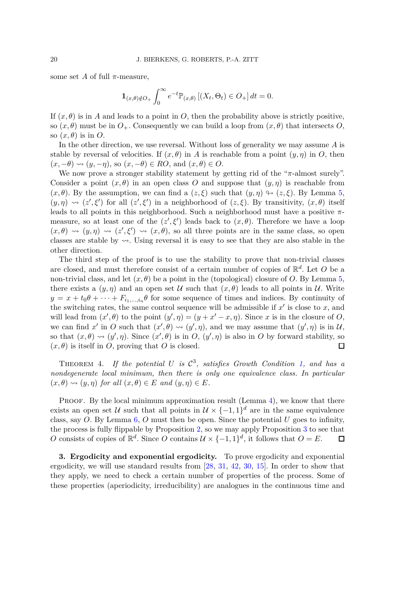some set *A* of full  $\pi$ -measure,

$$
\mathbf{1}_{(x,\theta)\notin O_+} \int_0^\infty e^{-t} \mathbb{P}_{(x,\theta)} \left[ (X_t, \Theta_t) \in O_+ \right] dt = 0.
$$

If  $(x, \theta)$  is in *A* and leads to a point in *O*, then the probability above is strictly positive, so  $(x, \theta)$  must be in  $O_+$ . Consequently we can build a loop from  $(x, \theta)$  that intersects *O*, so  $(x, \theta)$  is in O.

In the other direction, we use reversal. Without loss of generality we may assume *A* is stable by reversal of velocities. If  $(x, \theta)$  in *A* is reachable from a point  $(y, \eta)$  in *O*, then  $(x, -\theta) \rightsquigarrow (y, -\eta)$ , so  $(x, -\theta) \in RO$ , and  $(x, \theta) \in O$ .

We now prove a stronger stability statement by getting rid of the "*π*-almost surely". Consider a point  $(x, \theta)$  in an open class O and suppose that  $(y, \eta)$  is reachable from  $(x, \theta)$ . By the assumption, we can find a  $(z, \xi)$  such that  $(y, \eta) \rightarrow (z, \xi)$ . By Lemma [5,](#page-17-1)  $(y, \eta) \rightsquigarrow (z', \xi')$  for all  $(z', \xi')$  in a neighborhood of  $(z, \xi)$ . By transitivity,  $(x, \theta)$  itself leads to all points in this neighborhood. Such a neighborhood must have a positive *π*measure, so at least one of the  $(z', \xi')$  leads back to  $(x, \theta)$ . Therefore we have a loop  $(x, \theta) \rightsquigarrow (y, \eta) \rightsquigarrow (z', \xi') \rightsquigarrow (x, \theta)$ , so all three points are in the same class, so open classes are stable by  $\rightsquigarrow$ . Using reversal it is easy to see that they are also stable in the other direction.

The third step of the proof is to use the stability to prove that non-trivial classes are closed, and must therefore consist of a certain number of copies of R *d* . Let *O* be a non-trivial class, and let  $(x, \theta)$  be a point in the (topological) closure of *O*. By Lemma [5,](#page-17-1) there exists a  $(y, \eta)$  and an open set U such that  $(x, \theta)$  leads to all points in U. Write  $y = x + t_0 \theta + \cdots + F_{i_1, \dots, i_n} \theta$  for some sequence of times and indices. By continuity of the switching rates, the same control sequence will be admissible if  $x'$  is close to  $x$ , and will lead from  $(x', \theta)$  to the point  $(y', \eta) = (y + x' - x, \eta)$ . Since *x* is in the closure of *O*, we can find *x'* in *O* such that  $(x', \theta) \leadsto (y', \eta)$ , and we may assume that  $(y', \eta)$  is in U, so that  $(x, \theta) \rightsquigarrow (y', \eta)$ . Since  $(x', \theta)$  is in *O*,  $(y', \eta)$  is also in *O* by forward stability, so  $(x, \theta)$  is itself in *O*, proving that *O* is closed.  $\Box$ 

<span id="page-19-1"></span>THEOREM 4. If the potential  $U$  is  $C^3$ , satisfies Growth Condition [1,](#page-7-4) and has a *nondegenerate local minimum, then there is only one equivalence class. In particular*  $(x, \theta) \rightsquigarrow (y, \eta)$  *for all*  $(x, \theta) \in E$  *and*  $(y, \eta) \in E$ *.* 

PROOF. By the local minimum approximation result (Lemma [4\)](#page-15-2), we know that there exists an open set U such that all points in  $U \times \{-1,1\}^d$  are in the same equivalence class, say *O*. By Lemma [6,](#page-17-2) *O* must then be open. Since the potential *U* goes to infinity, the process is fully flippable by Proposition [2,](#page-16-0) so we may apply Proposition [3](#page-18-0) to see that *O* consists of copies of  $\mathbb{R}^d$ . Since *O* contains  $\mathcal{U} \times \{-1, 1\}^d$ , it follows that  $O = E$ .  $\Box$ 

<span id="page-19-0"></span>**3. Ergodicity and exponential ergodicity.** To prove ergodicity and exponential ergodicity, we will use standard results from [\[28,](#page-32-20) [31,](#page-32-0) [42,](#page-33-10) [30,](#page-32-1) [15\]](#page-32-21). In order to show that they apply, we need to check a certain number of properties of the process. Some of these properties (aperiodicity, irreducibility) are analogues in the continuous time and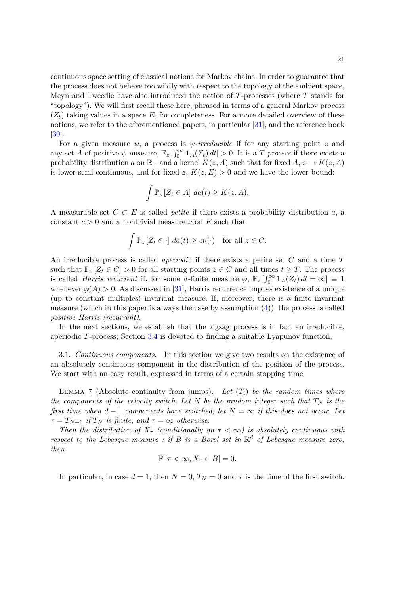continuous space setting of classical notions for Markov chains. In order to guarantee that the process does not behave too wildly with respect to the topology of the ambient space, Meyn and Tweedie have also introduced the notion of *T*-processes (where *T* stands for "topology"). We will first recall these here, phrased in terms of a general Markov process  $(Z_t)$  taking values in a space E, for completeness. For a more detailed overview of these notions, we refer to the aforementioned papers, in particular [\[31\]](#page-32-0), and the reference book [\[30\]](#page-32-1).

For a given measure  $\psi$ , a process is  $\psi$ -irreducible if for any starting point *z* and any set *A* of positive  $\psi$ -measure,  $\mathbb{E}_z \left[ \int_0^\infty \mathbf{1}_A(Z_t) dt \right] > 0$ . It is a *T*-process if there exists a probability distribution *a* on  $\mathbb{R}_+$  and a kernel  $K(z, A)$  such that for fixed  $A, z \mapsto K(z, A)$ is lower semi-continuous, and for fixed  $z, K(z, E) > 0$  and we have the lower bound:

$$
\int \mathbb{P}_z \left[ Z_t \in A \right] \, da(t) \geq K(z, A).
$$

A measurable set  $C \subset E$  is called *petite* if there exists a probability distribution *a*, a constant  $c > 0$  and a nontrivial measure  $\nu$  on *E* such that

$$
\int \mathbb{P}_z \left[ Z_t \in \cdot \right] \, da(t) \geq c \nu(\cdot) \quad \text{for all } z \in C.
$$

An irreducible process is called *aperiodic* if there exists a petite set *C* and a time *T* such that  $\mathbb{P}_z[Z_t \in C] > 0$  for all starting points  $z \in C$  and all times  $t \geq T$ . The process is called *Harris recurrent* if, for some *σ*-finite measure  $\varphi$ ,  $\mathbb{P}_z \left[ \int_0^\infty \mathbf{1}_A(Z_t) dt = \infty \right] \equiv 1$ whenever  $\varphi(A) > 0$ . As discussed in [\[31\]](#page-32-0), Harris recurrence implies existence of a unique (up to constant multiples) invariant measure. If, moreover, there is a finite invariant measure (which in this paper is always the case by assumption  $(4)$ ), the process is called *positive Harris (recurrent)*.

In the next sections, we establish that the zigzag process is in fact an irreducible, aperiodic *T*-process; Section [3.4](#page-28-0) is devoted to finding a suitable Lyapunov function.

3.1. *Continuous components.* In this section we give two results on the existence of an absolutely continuous component in the distribution of the position of the process. We start with an easy result, expressed in terms of a certain stopping time.

<span id="page-20-0"></span>LEMMA 7 (Absolute continuity from jumps). Let  $(T_i)$  be the random times where *the components of the velocity switch. Let*  $N$  *be the random integer such that*  $T_N$  *is the first time when*  $d-1$  *components have switched; let*  $N = \infty$  *if this does not occur. Let*  $\tau = T_{N+1}$  *if*  $T_N$  *is finite, and*  $\tau = \infty$  *otherwise.* 

*Then the distribution of*  $X_{\tau}$  *(conditionally on*  $\tau < \infty$ ) *is absolutely continuous with respect to the Lebesgue measure : if B is a Borel set in* R *<sup>d</sup> of Lebesgue measure zero, then*

$$
\mathbb{P}\left[\tau<\infty, X_{\tau}\in B\right]=0.
$$

In particular, in case  $d = 1$ , then  $N = 0$ ,  $T_N = 0$  and  $\tau$  is the time of the first switch.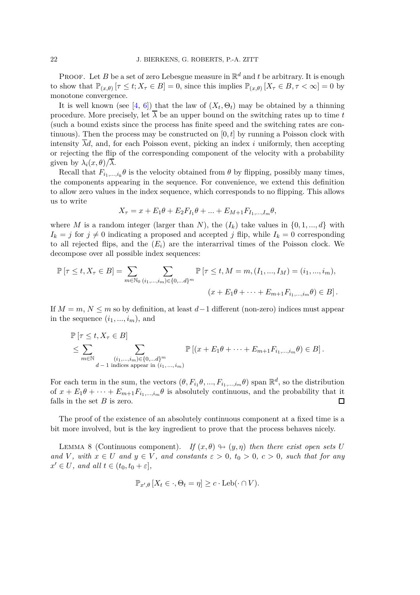PROOF. Let *B* be a set of zero Lebesgue measure in  $\mathbb{R}^d$  and *t* be arbitrary. It is enough to show that  $\mathbb{P}_{(x,\theta)}$   $[\tau \le t; X_{\tau} \in B] = 0$ , since this implies  $\mathbb{P}_{(x,\theta)}$   $[X_{\tau} \in B, \tau < \infty] = 0$  by monotone convergence.

It is well known (see [\[4,](#page-31-8) [6\]](#page-31-1)) that the law of  $(X_t, \Theta_t)$  may be obtained by a thinning procedure. More precisely, let  $\overline{\lambda}$  be an upper bound on the switching rates up to time *t* (such a bound exists since the process has finite speed and the switching rates are continuous). Then the process may be constructed on  $[0, t]$  by running a Poisson clock with intensity  $\overline{\lambda}d$ , and, for each Poisson event, picking an index *i* uniformly, then accepting or rejecting the flip of the corresponding component of the velocity with a probability given by  $\lambda_i(x, \theta)/\overline{\lambda}$ .

Recall that  $F_{i_1,\dots,i_k}\theta$  is the velocity obtained from  $\theta$  by flipping, possibly many times, the components appearing in the sequence. For convenience, we extend this definition to allow zero values in the index sequence, which corresponds to no flipping. This allows us to write

$$
X_{\tau} = x + E_1 \theta + E_2 F_{I_1} \theta + \dots + E_{M+1} F_{I_1, \dots, I_m} \theta,
$$

where *M* is a random integer (larger than *N*), the  $(I_k)$  take values in  $\{0, 1, ..., d\}$  with  $I_k = j$  for  $j \neq 0$  indicating a proposed and accepted *j* flip, while  $I_k = 0$  corresponding to all rejected flips, and the  $(E_i)$  are the interarrival times of the Poisson clock. We decompose over all possible index sequences:

$$
\mathbb{P}[\tau \le t, X_{\tau} \in B] = \sum_{m \in \mathbb{N}_0} \sum_{(i_1, \dots, i_m) \in \{0, \dots d\}^m} \mathbb{P}[\tau \le t, M = m, (I_1, \dots, I_M) = (i_1, \dots, i_m),
$$
  

$$
(x + E_1 \theta + \dots + E_{m+1} F_{i_1, \dots, i_m} \theta) \in B].
$$

If *M* = *m*, *N* ≤ *m* so by definition, at least *d*−1 different (non-zero) indices must appear in the sequence  $(i_1, ..., i_m)$ , and

$$
\mathbb{P}\left[\tau \leq t, X_{\tau} \in B\right]
$$
\n
$$
\leq \sum_{m \in \mathbb{N}} \sum_{\substack{(i_1, \ldots, i_m) \in \{0, \ldots d\}^m \\ d-1 \text{ indices appear in } (i_1, \ldots, i_m)}} \mathbb{P}\left[(x + E_1 \theta + \cdots + E_{m+1} F_{i_1, \ldots, i_m} \theta) \in B\right].
$$

For each term in the sum, the vectors  $(\theta, F_{i_1}\theta, ..., F_{i_1,...,i_m}\theta)$  span  $\mathbb{R}^d$ , so the distribution of  $x + E_1\theta + \cdots + E_{m+1}F_{i_1,\ldots,i_m}\theta$  is absolutely continuous, and the probability that it falls in the set *B* is zero. falls in the set *B* is zero.

The proof of the existence of an absolutely continuous component at a fixed time is a bit more involved, but is the key ingredient to prove that the process behaves nicely.

<span id="page-21-0"></span>LEMMA 8 (Continuous component). *If*  $(x, \theta) \rightarrow (y, \eta)$  *then there exist open sets U and V*, with  $x \in U$  *and*  $y \in V$ *, and constants*  $\varepsilon > 0$ *,*  $t_0 > 0$ *,*  $c > 0$ *, such that for any*  $x' \in U$ *, and all*  $t \in (t_0, t_0 + \varepsilon],$ 

$$
\mathbb{P}_{x',\theta}[X_t \in \cdot, \Theta_t = \eta] \ge c \cdot \text{Leb}(\cdot \cap V).
$$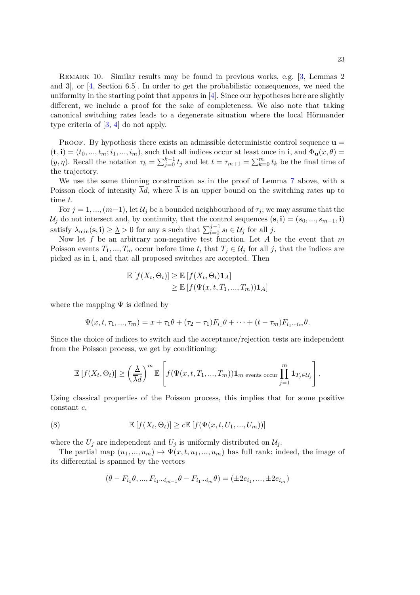Remark 10. Similar results may be found in previous works, e.g. [\[3,](#page-31-9) Lemmas 2 and 3], or [\[4,](#page-31-8) Section 6.5]. In order to get the probabilistic consequences, we need the uniformity in the starting point that appears in  $[4]$ . Since our hypotheses here are slightly different, we include a proof for the sake of completeness. We also note that taking canonical switching rates leads to a degenerate situation where the local Hörmander type criteria of [\[3,](#page-31-9) [4\]](#page-31-8) do not apply.

PROOF. By hypothesis there exists an admissible deterministic control sequence  $\mathbf{u} =$  $(\mathbf{t}, \mathbf{i}) = (t_0, ..., t_m; i_1, ..., i_m)$ , such that all indices occur at least once in **i**, and  $\Phi_{\mathbf{u}}(x, \theta) =$ (*y, η*). Recall the notation  $\tau_k = \sum_{j=0}^{k-1} t_j$  and let  $t = \tau_{m+1} = \sum_{k=0}^{m} t_k$  be the final time of the trajectory.

We use the same thinning construction as in the proof of Lemma [7](#page-20-0) above, with a Poisson clock of intensity  $\overline{\lambda}d$ , where  $\overline{\lambda}$  is an upper bound on the switching rates up to time *t*.

For  $j = 1, ..., (m-1)$ , let  $\mathcal{U}_j$  be a bounded neighbourhood of  $\tau_j$ ; we may assume that the  $U_j$  do not intersect and, by continuity, that the control sequences  $(\mathbf{s}, \mathbf{i}) = (s_0, ..., s_{m-1}, \mathbf{i})$ satisfy  $\lambda_{\min}(\mathbf{s}, \mathbf{i}) \geq \lambda > 0$  for any **s** such that  $\sum_{l=0}^{j-1} s_l \in \mathcal{U}_j$  for all *j*.

Now let *f* be an arbitrary non-negative test function. Let *A* be the event that *m* Poisson events  $T_1, ..., T_m$  occur before time *t*, that  $T_j \in U_j$  for all *j*, that the indices are picked as in **i**, and that all proposed switches are accepted. Then

$$
\mathbb{E}[f(X_t, \Theta_t)] \geq \mathbb{E}[f(X_t, \Theta_t) \mathbf{1}_A] \geq \mathbb{E}[f(\Psi(x, t, T_1, ..., T_m)) \mathbf{1}_A]
$$

where the mapping  $\Psi$  is defined by

$$
\Psi(x, t, \tau_1, ..., \tau_m) = x + \tau_1 \theta + (\tau_2 - \tau_1) F_{i_1} \theta + \dots + (t - \tau_m) F_{i_1 \cdots i_m} \theta.
$$

Since the choice of indices to switch and the acceptance/rejection tests are independent from the Poisson process, we get by conditioning:

$$
\mathbb{E}\left[f(X_t,\Theta_t)\right] \geq \left(\frac{\underline{\lambda}}{\overline{\lambda}d}\right)^m \mathbb{E}\left[f(\Psi(x,t,T_1,...,T_m))\mathbf{1}_m \text{ events occur } \prod_{j=1}^m \mathbf{1}_{T_j \in \mathcal{U}_j}\right].
$$

Using classical properties of the Poisson process, this implies that for some positive constant *c*,

(8) 
$$
\mathbb{E}\left[f(X_t,\Theta_t)\right] \ge c \mathbb{E}\left[f(\Psi(x,t,U_1,...,U_m))\right]
$$

where the  $U_j$  are independent and  $U_j$  is uniformly distributed on  $\mathcal{U}_j$ .

The partial map  $(u_1, ..., u_m) \mapsto \Psi(x, t, u_1, ..., u_m)$  has full rank: indeed, the image of its differential is spanned by the vectors

$$
(\theta - F_{i_1}\theta, ..., F_{i_1\cdots i_{m-1}}\theta - F_{i_1\cdots i_m}\theta) = (\pm 2e_{i_1}, ..., \pm 2e_{i_m})
$$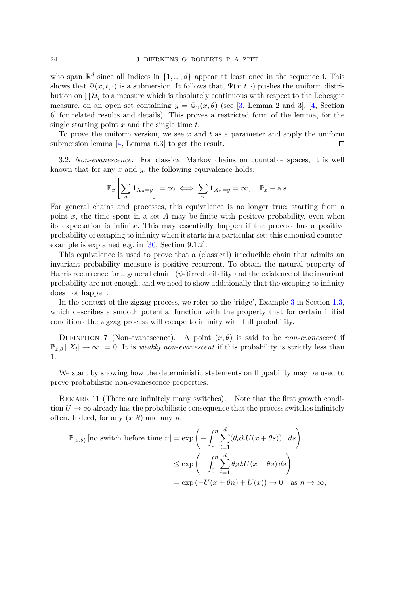who span  $\mathbb{R}^d$  since all indices in  $\{1, ..., d\}$  appear at least once in the sequence **i**. This shows that  $\Psi(x, t, \cdot)$  is a submersion. It follows that,  $\Psi(x, t, \cdot)$  pushes the uniform distribution on  $\prod \mathcal{U}_j$  to a measure which is absolutely continuous with respect to the Lebesgue measure, on an open set containing  $y = \Phi_{\mathbf{u}}(x, \theta)$  (see [\[3,](#page-31-9) Lemma 2 and 3], [\[4,](#page-31-8) Section 6] for related results and details). This proves a restricted form of the lemma, for the single starting point *x* and the single time *t*.

To prove the uniform version, we see *x* and *t* as a parameter and apply the uniform submersion lemma [\[4,](#page-31-8) Lemma 6.3] to get the result.  $\Box$ 

3.2. *Non-evanescence.* For classical Markov chains on countable spaces, it is well known that for any *x* and *y*, the following equivalence holds:

$$
\mathbb{E}_x \left[ \sum_n \mathbf{1}_{X_n = y} \right] = \infty \iff \sum_n \mathbf{1}_{X_n = y} = \infty, \quad \mathbb{P}_x - \text{a.s.}
$$

For general chains and processes, this equivalence is no longer true: starting from a point *x*, the time spent in a set *A* may be finite with positive probability, even when its expectation is infinite. This may essentially happen if the process has a positive probability of escaping to infinity when it starts in a particular set: this canonical counterexample is explained e.g. in [\[30,](#page-32-1) Section 9.1.2].

This equivalence is used to prove that a (classical) irreducible chain that admits an invariant probability measure is positive recurrent. To obtain the natural property of Harris recurrence for a general chain,  $(\psi)$ -)irreducibility and the existence of the invariant probability are not enough, and we need to show additionally that the escaping to infinity does not happen.

In the context of the zigzag process, we refer to the 'ridge', Example [3](#page-7-6) in Section [1.3,](#page-3-0) which describes a smooth potential function with the property that for certain initial conditions the zigzag process will escape to infinity with full probability.

DEFINITION 7 (Non-evanescence). A point  $(x, \theta)$  is said to be *non-evanescent* if  $\mathbb{P}_{x,\theta}\left[\left|X_t\right| \to \infty\right] = 0$ . It is *weakly non-evanescent* if this probability is strictly less than 1.

We start by showing how the deterministic statements on flippability may be used to prove probabilistic non-evanescence properties.

<span id="page-23-0"></span>REMARK 11 (There are infinitely many switches). Note that the first growth condition  $U \to \infty$  already has the probabilistic consequence that the process switches infinitely often. Indeed, for any  $(x, \theta)$  and any *n*,

$$
\mathbb{P}_{(x,\theta)}[\text{no switch before time } n] = \exp\left(-\int_0^n \sum_{i=1}^d (\theta_i \partial_i U(x + \theta s))_+ ds\right)
$$

$$
\leq \exp\left(-\int_0^n \sum_{i=1}^d \theta_i \partial_i U(x + \theta s) ds\right)
$$

$$
= \exp\left(-U(x + \theta n) + U(x)\right) \to 0 \quad \text{as } n \to \infty,
$$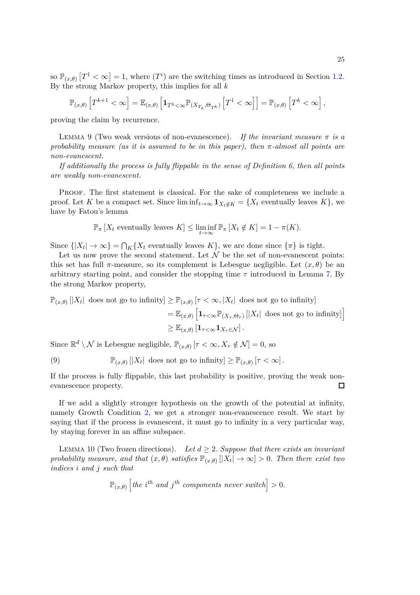so  $\mathbb{P}_{(x,\theta)}[T^1 < \infty] = 1$ , where  $(T^i)$  are the switching times as introduced in Section [1.2.](#page-2-2) By the strong Markov property, this implies for all *k*

$$
\mathbb{P}_{(x,\theta)}\left[T^{k+1} < \infty\right] = \mathbb{E}_{(x,\theta)}\left[\mathbf{1}_{T^k < \infty} \mathbb{P}_{(X_{T_k},\Theta_{T^k})}\left[T^1 < \infty\right]\right] = \mathbb{P}_{(x,\theta)}\left[T^k < \infty\right],
$$

proving the claim by recurrence.

<span id="page-24-1"></span>LEMMA 9 (Two weak versions of non-evanescence). If the invariant measure  $\pi$  is a *probability measure (as it is assumed to be in this paper), then π-almost all points are non-evanescent.*

*If additionally the process is fully flippable in the sense of Definition [6,](#page-16-2) then all points are weakly non-evanescent.*

PROOF. The first statement is classical. For the sake of completeness we include a proof. Let *K* be a compact set. Since  $\liminf_{t\to\infty} \mathbf{1}_{X_t \notin K} = \{X_t \text{ eventually leaves } K\}$ , we have by Fatou's lemma

$$
\mathbb{P}_{\pi}[X_t \text{ eventually leaves } K] \le \liminf_{t \to \infty} \mathbb{P}_{\pi}[X_t \notin K] = 1 - \pi(K).
$$

Since  $\{|X_t| \to \infty\} = \bigcap_K \{X_t$  eventually leaves  $K\}$ , we are done since  $\{\pi\}$  is tight.

Let us now prove the second statement. Let  $\mathcal N$  be the set of non-evanescent points: this set has full  $\pi$ -measure, so its complement is Lebesgue negligible. Let  $(x, \theta)$  be an arbitrary starting point, and consider the stopping time *τ* introduced in Lemma [7.](#page-20-0) By the strong Markov property,

$$
\mathbb{P}_{(x,\theta)}[|X_t| \text{ does not go to infinity}] \geq \mathbb{P}_{(x,\theta)}[\tau < \infty, |X_t| \text{ does not go to infinity}]
$$
  
=  $\mathbb{E}_{(x,\theta)}\left[\mathbf{1}_{\tau < \infty} \mathbb{P}_{(X_\tau,\Theta_\tau)}[|X_t| \text{ does not go to infinity}]\right]$   
 $\geq \mathbb{E}_{(x,\theta)}\left[\mathbf{1}_{\tau < \infty} \mathbf{1}_{X_\tau \in \mathcal{N}}\right].$ 

Since  $\mathbb{R}^d \setminus \mathcal{N}$  is Lebesgue negligible,  $\mathbb{P}_{(x,\theta)}$   $[\tau < \infty, X_\tau \notin \mathcal{N}] = 0$ , so

<span id="page-24-0"></span>(9) 
$$
\mathbb{P}_{(x,\theta)}\left[|X_t| \text{ does not go to infinity}\right] \geq \mathbb{P}_{(x,\theta)}\left[\tau < \infty\right].
$$

If the process is fully flippable, this last probability is positive, proving the weak nonevanescence property.  $\Box$ 

If we add a slightly stronger hypothesis on the growth of the potential at infinity, namely Growth Condition [2,](#page-7-0) we get a stronger non-evanescence result. We start by saying that if the process is evanescent, it must go to infinity in a very particular way, by staying forever in an affine subspace.

<span id="page-24-2"></span>LEMMA 10 (Two frozen directions). Let  $d \geq 2$ . Suppose that there exists an invariant *probability measure, and that*  $(x, \theta)$  *satisfies*  $\mathbb{P}_{(x,\theta)} [X_t] \to \infty$  > 0*. Then there exist two indices i and j such that*

$$
\mathbb{P}_{(x,\theta)}\left[the\ i^{th}\ \textit{and}\ j^{th}\ \textit{components}\ \textit{never}\ \textit{switch}\right]>0.
$$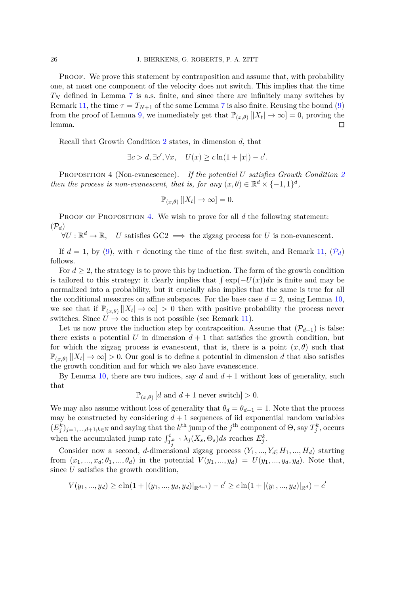PROOF. We prove this statement by contraposition and assume that, with probability one, at most one component of the velocity does not switch. This implies that the time  $T_N$  defined in Lemma [7](#page-20-0) is a.s. finite, and since there are infinitely many switches by Remark [11,](#page-23-0) the time  $\tau = T_{N+1}$  of the same Lemma [7](#page-20-0) is also finite. Reusing the bound [\(9\)](#page-24-0) from the proof of Lemma [9,](#page-24-1) we immediately get that  $\mathbb{P}_{(x,\theta)}[|X_t| \to \infty] = 0$ , proving the lemma.

Recall that Growth Condition [2](#page-7-0) states, in dimension *d*, that

$$
\exists c > d, \exists c', \forall x, \quad U(x) \ge c \ln(1+|x|) - c'.
$$

<span id="page-25-0"></span>Proposition 4 (Non-evanescence). *If the potential U satisfies Growth Condition [2](#page-7-0) then the process is non-evanescent, that is, for any*  $(x, \theta) \in \mathbb{R}^d \times \{-1, 1\}^d$ ,

$$
\mathbb{P}_{(x,\theta)}\left[|X_t|\to\infty\right]=0.
$$

<span id="page-25-1"></span>PROOF OF PROPOSITION [4.](#page-25-0) We wish to prove for all *d* the following statement:  $(\mathcal{P}_d)$ 

 $\forall U : \mathbb{R}^d \to \mathbb{R}, \quad U$  satisfies  $\text{GC2} \implies$  the zigzag process for *U* is non-evanescent.

If  $d = 1$ , by [\(9\)](#page-24-0), with  $\tau$  denoting the time of the first switch, and Remark [11,](#page-23-0)  $(\mathcal{P}_d)$  $(\mathcal{P}_d)$  $(\mathcal{P}_d)$ follows.

For  $d \geq 2$ , the strategy is to prove this by induction. The form of the growth condition is tailored to this strategy: it clearly implies that  $\int \exp(-U(x))dx$  is finite and may be normalized into a probability, but it crucially also implies that the same is true for all the conditional measures on affine subspaces. For the base case  $d = 2$ , using Lemma [10,](#page-24-2) we see that if  $\mathbb{P}_{(x,\theta)}[X_t] \to \infty$  > 0 then with positive probability the process never switches. Since  $U \to \infty$  this is not possible (see Remark [11\)](#page-23-0).

Let us now prove the induction step by contraposition. Assume that  $(\mathcal{P}_{d+1})$  is false: there exists a potential *U* in dimension  $d+1$  that satisfies the growth condition, but for which the zigzag process is evanescent, that is, there is a point  $(x, \theta)$  such that  $\mathbb{P}_{(x,\theta)} [X_t] \to \infty$  > 0. Our goal is to define a potential in dimension *d* that also satisfies the growth condition and for which we also have evanescence.

By Lemma [10,](#page-24-2) there are two indices, say  $d$  and  $d+1$  without loss of generality, such that

$$
\mathbb{P}_{(x,\theta)}[d \text{ and } d+1 \text{ never switch}] > 0.
$$

We may also assume without loss of generality that  $\theta_d = \theta_{d+1} = 1$ . Note that the process may be constructed by considering  $d+1$  sequences of iid exponential random variables  $(E_j^k)_{j=1,\dots,d+1; k \in \mathbb{N}}$  and saying that the  $k^{\text{th}}$  jump of the  $j^{\text{th}}$  component of  $\Theta$ , say  $T_j^k$ , occurs when the accumulated jump rate  $\int_{T_j^{k-1}}^{t} \lambda_j(X_s, \Theta_s) ds$  reaches  $E_j^k$ .

Consider now a second, *d*-dimensional zigzag process  $(Y_1, ..., Y_d; H_1, ..., H_d)$  starting from  $(x_1, ..., x_d; \theta_1, ..., \theta_d)$  in the potential  $V(y_1, ..., y_d) = U(y_1, ..., y_d, y_d)$ . Note that, since *U* satisfies the growth condition,

$$
V(y_1, ..., y_d) \ge c \ln(1 + |(y_1, ..., y_d, y_d)|_{\mathbb{R}^{d+1}}) - c' \ge c \ln(1 + |(y_1, ..., y_d)|_{\mathbb{R}^d}) - c'
$$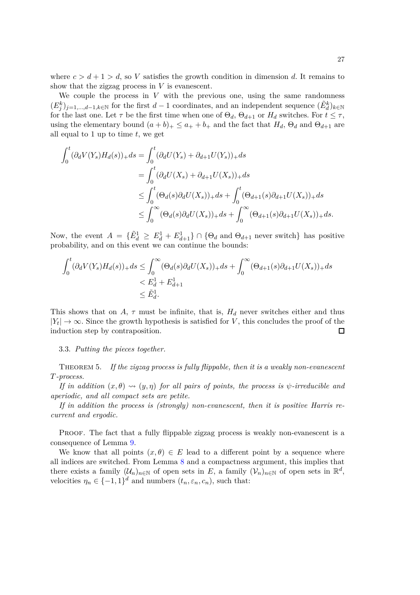where  $c > d + 1 > d$ , so V satisfies the growth condition in dimension d. It remains to show that the zigzag process in *V* is evanescent.

We couple the process in *V* with the previous one, using the same randomness  $(E_j^k)_{j=1,\dots,d-1,k\in\mathbb{N}}$  for the first  $d-1$  coordinates, and an independent sequence  $(\tilde{E}_d^k)_{k\in\mathbb{N}}$ for the last one. Let  $\tau$  be the first time when one of  $\Theta_d$ ,  $\Theta_{d+1}$  or  $H_d$  switches. For  $t \leq \tau$ , using the elementary bound  $(a + b)_{+} \le a_{+} + b_{+}$  and the fact that  $H_d$ ,  $\Theta_d$  and  $\Theta_{d+1}$  are all equal to 1 up to time *t*, we get

$$
\int_{0}^{t} (\partial_{d}V(Y_{s})H_{d}(s))_{+} ds = \int_{0}^{t} (\partial_{d}U(Y_{s}) + \partial_{d+1}U(Y_{s}))_{+} ds
$$
\n
$$
= \int_{0}^{t} (\partial_{d}U(X_{s}) + \partial_{d+1}U(X_{s}))_{+} ds
$$
\n
$$
\leq \int_{0}^{t} (\Theta_{d}(s)\partial_{d}U(X_{s}))_{+} ds + \int_{0}^{t} (\Theta_{d+1}(s)\partial_{d+1}U(X_{s}))_{+} ds
$$
\n
$$
\leq \int_{0}^{\infty} (\Theta_{d}(s)\partial_{d}U(X_{s}))_{+} ds + \int_{0}^{\infty} (\Theta_{d+1}(s)\partial_{d+1}U(X_{s}))_{+} ds.
$$

Now, the event  $A = {\{\tilde{E}_d^1 \ge E_d^1 + E_{d+1}^1\}} \cap {\{\Theta_d \text{ and } \Theta_{d+1} \text{ never switch}\}}$  has positive probability, and on this event we can continue the bounds:

$$
\int_0^t (\partial_d V(Y_s) H_d(s))_+ ds \le \int_0^\infty (\Theta_d(s) \partial_d U(X_s))_+ ds + \int_0^\infty (\Theta_{d+1}(s) \partial_{d+1} U(X_s))_+ ds
$$
  

$$
< E_d^1 + E_{d+1}^1
$$
  

$$
\leq \tilde{E}_d^1.
$$

This shows that on  $A$ ,  $\tau$  must be infinite, that is,  $H_d$  never switches either and thus  $|Y_t| \to \infty$ . Since the growth hypothesis is satisfied for *V*, this concludes the proof of the induction step by contraposition.

#### 3.3. *Putting the pieces together.*

<span id="page-26-0"></span>Theorem 5. *If the zigzag process is fully flippable, then it is a weakly non-evanescent T-process.*

*If in addition*  $(x, \theta) \rightsquigarrow (y, \eta)$  *for all pairs of points, the process is*  $\psi$ -irreducible and *aperiodic, and all compact sets are petite.*

*If in addition the process is (strongly) non-evanescent, then it is positive Harris recurrent and ergodic.*

Proof. The fact that a fully flippable zigzag process is weakly non-evanescent is a consequence of Lemma [9.](#page-24-1)

We know that all points  $(x, \theta) \in E$  lead to a different point by a sequence where all indices are switched. From Lemma [8](#page-21-0) and a compactness argument, this implies that there exists a family  $(\mathcal{U}_n)_{n \in \mathbb{N}}$  of open sets in *E*, a family  $(\mathcal{V}_n)_{n \in \mathbb{N}}$  of open sets in  $\mathbb{R}^d$ , velocities  $\eta_n \in \{-1,1\}^d$  and numbers  $(t_n, \varepsilon_n, c_n)$ , such that: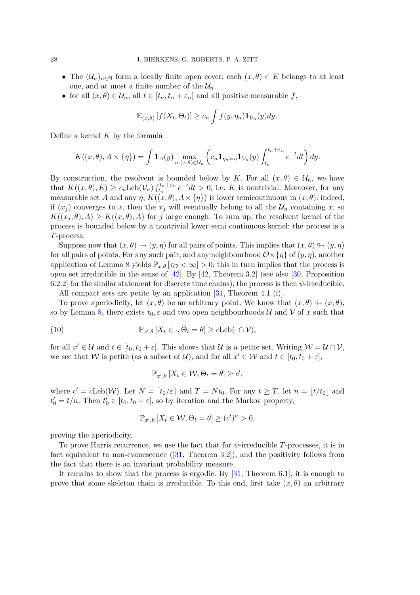- The  $(\mathcal{U}_n)_{n\in\mathbb{N}}$  form a locally finite open cover: each  $(x,\theta) \in E$  belongs to at least one, and at most a finite number of the  $\mathcal{U}_n$ .
- for all  $(x, \theta) \in \mathcal{U}_n$ , all  $t \in [t_n, t_n + \varepsilon_n]$  and all positive measurable  $f$ ,

$$
\mathbb{E}_{(x,\theta)}\left[f(X_t,\Theta_t)\right] \geq c_n \int f(y,\eta_n) \mathbf{1}_{\mathcal{V}_n}(y) dy.
$$

Define a kernel *K* by the formula

$$
K((x,\theta),A\times\{\eta\})=\int \mathbf{1}_A(y)\max_{n:(x,\theta)\in\mathcal{U}_n}\left(c_n\mathbf{1}_{\eta_n=\eta}\mathbf{1}_{\mathcal{V}_n}(y)\int_{t_n}^{t_n+\varepsilon_n}e^{-t}dt\right)dy.
$$

By construction, the resolvent is bounded below by *K*. For all  $(x, \theta) \in \mathcal{U}_n$ , we have that  $K((x, \theta), E) \ge c_n \text{Leb}(\mathcal{V}_n) \int_{t_n}^{t_n+\varepsilon_n} e^{-t} dt > 0$ , i.e. *K* is nontrivial. Moreover, for any measurable set *A* and any *η*,  $K((x, \theta), A \times \{\eta\})$  is lower semicontinuous in  $(x, \theta)$ : indeed, if  $(x_j)$  converges to *x*, then the  $x_j$  will eventually belong to all the  $\mathcal{U}_n$  containing *x*, so  $K((x_i, \theta), A) \geq K((x, \theta), A)$  for *j* large enough. To sum up, the resolvent kernel of the process is bounded below by a nontrivial lower semi continuous kernel: the process is a *T*-process.

Suppose now that  $(x, \theta) \rightsquigarrow (y, \eta)$  for all pairs of points. This implies that  $(x, \theta) \rightarrow (y, \eta)$ for all pairs of points. For any such pair, and any neighbourhood  $\mathcal{O}\times\{\eta\}$  of  $(y,\eta)$ , another application of Lemma [8](#page-21-0) yields  $\mathbb{P}_{x,\theta}$  [*τ* $\sigma < \infty$ ] > 0; this in turn implies that the process is open set irreducible in the sense of [\[42\]](#page-33-10). By [\[42,](#page-33-10) Theorem 3.2] (see also [\[30,](#page-32-1) Proposition 6.2.2] for the similar statement for discrete time chains), the process is then  $\psi$ -irreducible. All compact sets are petite by an application [\[31,](#page-32-0) Theorem 4.1 (i)].

To prove aperiodicity, let  $(x, \theta)$  be an arbitrary point. We know that  $(x, \theta) \rightarrow (x, \theta)$ , so by Lemma [8,](#page-21-0) there exists  $t_0$ ,  $\varepsilon$  and two open neighbourhoods U and V of x such that

(10) 
$$
\mathbb{P}_{x',\theta}[X_t \in \cdot, \Theta_t = \theta] \geq c \text{Leb}(\cdot \cap \mathcal{V}),
$$

for all  $x' \in \mathcal{U}$  and  $t \in [t_0, t_0 + \varepsilon]$ . This shows that  $\mathcal{U}$  is a petite set. Writing  $\mathcal{W} = \mathcal{U} \cap \mathcal{V}$ , we see that W is petite (as a subset of  $\mathcal{U}$ ), and for all  $x' \in \mathcal{W}$  and  $t \in [t_0, t_0 + \varepsilon]$ ,

<span id="page-27-0"></span>
$$
\mathbb{P}_{x',\theta}\left[X_t \in \mathcal{W}, \Theta_t = \theta\right] \geq c',
$$

where  $c' = c$ Leb(*W*). Let  $N = \lceil t_0/\varepsilon \rceil$  and  $T = Nt_0$ . For any  $t \geq T$ , let  $n = \lfloor t/t_0 \rfloor$  and  $t'_0 = t/n$ . Then  $t'_0 \in [t_0, t_0 + \varepsilon]$ , so by iteration and the Markov property,

$$
\mathbb{P}_{x',\theta}\left[X_t \in \mathcal{W}, \Theta_t = \theta\right] \ge (c')^n > 0,
$$

proving the aperiodicity.

To prove Harris recurrence, we use the fact that for *ψ*-irreducible *T*-processes, it is in fact equivalent to non-evanescence  $([31, \text{ Theorem } 3.2])$  $([31, \text{ Theorem } 3.2])$  $([31, \text{ Theorem } 3.2])$ , and the positivity follows from the fact that there is an invariant probability measure.

It remains to show that the process is ergodic. By [\[31,](#page-32-0) Theorem 6.1], it is enough to prove that some skeleton chain is irreducible. To this end, first take  $(x, \theta)$  an arbitrary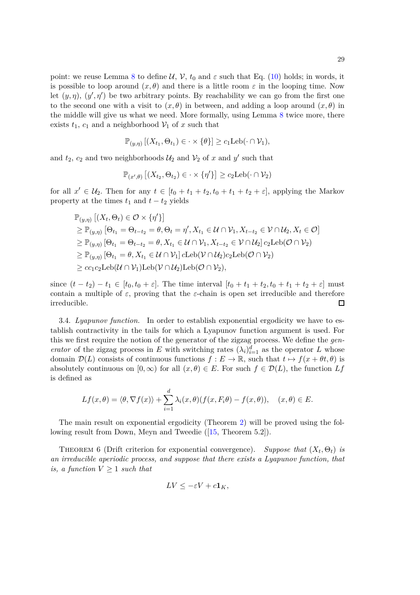point: we reuse Lemma [8](#page-21-0) to define  $\mathcal{U}, \mathcal{V}, t_0$  and  $\varepsilon$  such that Eq. [\(10\)](#page-27-0) holds; in words, it is possible to loop around  $(x, \theta)$  and there is a little room  $\varepsilon$  in the looping time. Now let  $(y, \eta)$ ,  $(y', \eta')$  be two arbitrary points. By reachability we can go from the first one to the second one with a visit to  $(x, \theta)$  in between, and adding a loop around  $(x, \theta)$  in the middle will give us what we need. More formally, using Lemma [8](#page-21-0) twice more, there exists  $t_1$ ,  $c_1$  and a neighborhood  $\mathcal{V}_1$  of  $x$  such that

$$
\mathbb{P}_{(y,\eta)}\left[ (X_{t_1}, \Theta_{t_1}) \in \cdot \times \{\theta\} \right] \geq c_1 \mathrm{Leb}(\cdot \cap \mathcal{V}_1),
$$

and  $t_2$ ,  $c_2$  and two neighborhoods  $\mathcal{U}_2$  and  $\mathcal{V}_2$  of  $x$  and  $y'$  such that

$$
\mathbb{P}_{(x',\theta)} [(X_{t_2}, \Theta_{t_2}) \in \cdot \times \{\eta'\}] \geq c_2 \text{Leb}(\cdot \cap \mathcal{V}_2)
$$

for all  $x' \in U_2$ . Then for any  $t \in [t_0 + t_1 + t_2, t_0 + t_1 + t_2 + \varepsilon]$ , applying the Markov property at the times  $t_1$  and  $t - t_2$  yields

$$
\mathbb{P}_{(y,\eta)} [(X_t, \Theta_t) \in \mathcal{O} \times \{\eta'\}]
$$
\n
$$
\geq \mathbb{P}_{(y,\eta)} [\Theta_{t_1} = \Theta_{t-t_2} = \theta, \Theta_t = \eta', X_{t_1} \in \mathcal{U} \cap \mathcal{V}_1, X_{t-t_2} \in \mathcal{V} \cap \mathcal{U}_2, X_t \in \mathcal{O}]
$$
\n
$$
\geq \mathbb{P}_{(y,\eta)} [\Theta_{t_1} = \Theta_{t-t_2} = \theta, X_{t_1} \in \mathcal{U} \cap \mathcal{V}_1, X_{t-t_2} \in \mathcal{V} \cap \mathcal{U}_2] c_2 \text{Leb}(\mathcal{O} \cap \mathcal{V}_2)
$$
\n
$$
\geq \mathbb{P}_{(y,\eta)} [\Theta_{t_1} = \theta, X_{t_1} \in \mathcal{U} \cap \mathcal{V}_1] c \text{Leb}(\mathcal{V} \cap \mathcal{U}_2) c_2 \text{Leb}(\mathcal{O} \cap \mathcal{V}_2)
$$
\n
$$
\geq c c_1 c_2 \text{Leb}(\mathcal{U} \cap \mathcal{V}_1) \text{Leb}(\mathcal{V} \cap \mathcal{U}_2) \text{Leb}(\mathcal{O} \cap \mathcal{V}_2),
$$

since  $(t - t_2) - t_1 \in [t_0, t_0 + \varepsilon]$ . The time interval  $[t_0 + t_1 + t_2, t_0 + t_1 + t_2 + \varepsilon]$  must contain a multiple of  $\varepsilon$ , proving that the  $\varepsilon$ -chain is open set irreducible and therefore irreducible.  $\Box$ 

<span id="page-28-0"></span>3.4. *Lyapunov function.* In order to establish exponential ergodicity we have to establish contractivity in the tails for which a Lyapunov function argument is used. For this we first require the notion of the generator of the zigzag process. We define the *generator* of the zigzag process in *E* with switching rates  $(\lambda_i)_{i=1}^d$  as the operator *L* whose domain  $\mathcal{D}(L)$  consists of continuous functions  $f: E \to \mathbb{R}$ , such that  $t \mapsto f(x + \theta t, \theta)$  is absolutely continuous on  $[0, \infty)$  for all  $(x, \theta) \in E$ . For such  $f \in \mathcal{D}(L)$ , the function  $Lf$ is defined as

$$
Lf(x,\theta) = \langle \theta, \nabla f(x) \rangle + \sum_{i=1}^d \lambda_i(x,\theta) (f(x,F_i\theta) - f(x,\theta)), \quad (x,\theta) \in E.
$$

The main result on exponential ergodicity (Theorem [2\)](#page-7-3) will be proved using the following result from Down, Meyn and Tweedie ([\[15,](#page-32-21) Theorem 5.2]).

<span id="page-28-1"></span>THEOREM 6 (Drift criterion for exponential convergence). *Suppose that*  $(X_t, \Theta_t)$  *is an irreducible aperiodic process, and suppose that there exists a Lyapunov function, that is, a function*  $V \geq 1$  *such that* 

$$
LV \leq -\varepsilon V + c\mathbf{1}_K,
$$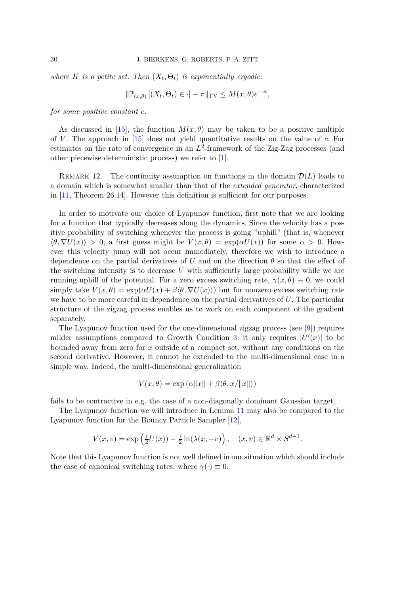*where*  $K$  *is a petite set. Then*  $(X_t, \Theta_t)$  *is exponentially ergodic:* 

$$
\|\mathbb{P}_{(x,\theta)}\left[(X_t,\Theta_t)\in\cdot\right]-\pi\|_{\text{TV}}\leq M(x,\theta)e^{-ct},
$$

*for some positive constant c.*

As discussed in [\[15\]](#page-32-21), the function  $M(x, \theta)$  may be taken to be a positive multiple of *V* . The approach in [\[15\]](#page-32-21) does not yield quantitative results on the value of *c*. For estimates on the rate of convergence in an  $L^2$ -framework of the Zig-Zag processes (and other piecewise deterministic process) we refer to [\[1\]](#page-31-4).

REMARK 12. The continuity assumption on functions in the domain  $\mathcal{D}(L)$  leads to a domain which is somewhat smaller than that of the *extended generator*, characterized in [\[11,](#page-32-22) Theorem 26.14]. However this definition is sufficient for our purposes.

In order to motivate our choice of Lyapunov function, first note that we are looking for a function that typically decreases along the dynamics. Since the velocity has a positive probability of switching whenever the process is going "uphill" (that is, whenever  $\langle \theta, \nabla U(x) \rangle > 0$ , a first guess might be  $V(x, \theta) = \exp(\alpha U(x))$  for some  $\alpha > 0$ . However this velocity jump will not occur immediately, therefore we wish to introduce a dependence on the partial derivatives of *U* and on the direction *θ* so that the effect of the switching intensity is to decrease *V* with sufficiently large probability while we are running uphill of the potential. For a zero excess switching rate,  $\gamma(x,\theta) \equiv 0$ , we could simply take  $V(x, \theta) = \exp(\alpha U(x) + \beta \langle \theta, \nabla U(x) \rangle)$  but for nonzero excess switching rate we have to be more careful in dependence on the partial derivatives of *U*. The particular structure of the zigzag process enables us to work on each component of the gradient separately.

The Lyapunov function used for the one-dimensional zigzag process (see [\[9\]](#page-31-6)) requires milder assumptions compared to Growth Condition [3:](#page-7-2) it only requires  $|U'(x)|$  to be bounded away from zero for *x* outside of a compact set, without any conditions on the second derivative. However, it cannot be extended to the multi-dimensional case in a simple way. Indeed, the multi-dimensional generalization

$$
V(x, \theta) = \exp(\alpha ||x|| + \beta \langle \theta, x/||x|| \rangle)
$$

fails to be contractive in e.g. the case of a non-diagonally dominant Gaussian target.

The Lyapunov function we will introduce in Lemma [11](#page-30-0) may also be compared to the Lyapunov function for the Bouncy Particle Sampler [\[12\]](#page-32-15),

$$
V(x,v) = \exp\left(\frac{1}{2}U(x)\right) - \frac{1}{2}\ln(\lambda(x,-v)), \quad (x,v) \in \mathbb{R}^d \times S^{d-1}.
$$

Note that this Lyapunov function is not well defined in our situation which should include the case of canonical switching rates, where  $\gamma(\cdot) \equiv 0$ .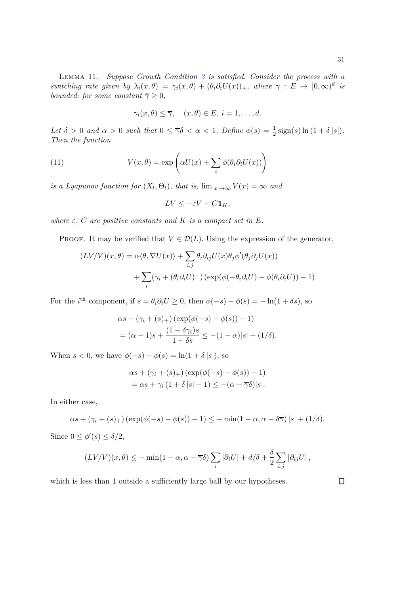<span id="page-30-0"></span>Lemma 11. *Suppose Growth Condition [3](#page-7-2) is satisfied. Consider the process with a switching rate given by*  $\lambda_i(x, \theta) = \gamma_i(x, \theta) + (\theta_i \partial_i U(x))_+,$  where  $\gamma : E \to [0, \infty)^d$  is *bounded: for some constant*  $\overline{\gamma} \geq 0$ *,* 

<span id="page-30-1"></span>
$$
\gamma_i(x, \theta) \leq \overline{\gamma}, \quad (x, \theta) \in E, i = 1, \dots, d.
$$

Let  $\delta > 0$  and  $\alpha > 0$  such that  $0 \leq \overline{\gamma} \delta < \alpha < 1$ . Define  $\phi(s) = \frac{1}{2} \text{sign}(s) \ln (1 + \delta |s|)$ . *Then the function*

(11) 
$$
V(x, \theta) = \exp\left(\alpha U(x) + \sum_{i} \phi(\theta_i \partial_i U(x))\right)
$$

*is a Lyapunov function for*  $(X_t, \Theta_t)$ , that is,  $\lim_{|x| \to \infty} V(x) = \infty$  and

$$
LV \leq -\varepsilon V + C \mathbf{1}_K,
$$

*where*  $\varepsilon$ ,  $C$  *are positive constants and*  $K$  *is a compact set in*  $E$ *.* 

PROOF. It may be verified that  $V \in \mathcal{D}(L)$ . Using the expression of the generator,

$$
(LV/V)(x,\theta) = \alpha \langle \theta, \nabla U(x) \rangle + \sum_{i,j} \theta_i \partial_{ij} U(x) \theta_j \phi'(\theta_j \partial_j U(x))
$$

$$
+ \sum_i (\gamma_i + (\theta_i \partial_i U)_+) (\exp(\phi(-\theta_i \partial_i U) - \phi(\theta_i \partial_i U)) - 1)
$$

For the *i*<sup>th</sup> component, if  $s = \theta_i \partial_i U \geq 0$ , then  $\phi(-s) - \phi(s) = -\ln(1 + \delta s)$ , so

$$
\alpha s + (\gamma_i + (s)_+) (\exp(\phi(-s) - \phi(s)) - 1)
$$
  
=  $(\alpha - 1)s + \frac{(1 - \delta \gamma_i)s}{1 + \delta s} \le -(1 - \alpha)|s| + (1/\delta).$ 

When  $s < 0$ , we have  $\phi(-s) - \phi(s) = \ln(1 + \delta |s|)$ , so

$$
\alpha s + (\gamma_i + (s)_+) (\exp(\phi(-s) - \phi(s)) - 1)
$$
  
=  $\alpha s + \gamma_i (1 + \delta |s| - 1) \le -(\alpha - \overline{\gamma} \delta)|s|.$ 

In either case,

$$
\alpha s + (\gamma_i + (s)_+) (\exp(\phi(-s) - \phi(s)) - 1) \leq -\min(1 - \alpha, \alpha - \delta \overline{\gamma}) |s| + (1/\delta).
$$

Since  $0 \leq \phi'(s) \leq \delta/2$ ,

$$
(LV/V)(x,\theta) \leq -\min(1-\alpha,\alpha-\overline{\gamma}\delta)\sum_{i}|\partial_i U| + d/\delta + \frac{\delta}{2}\sum_{i,j}|\partial_{ij} U|,
$$

which is less than 1 outside a sufficiently large ball by our hypotheses.

 $\Box$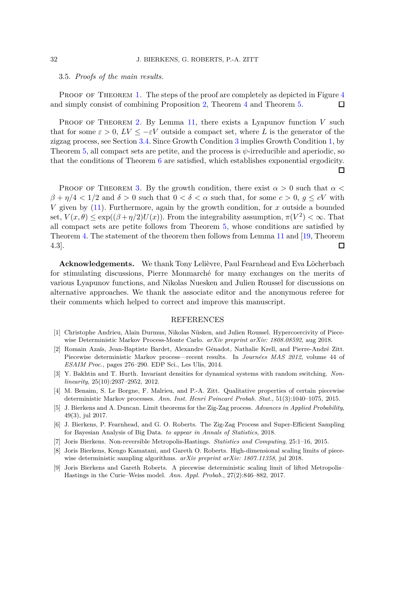<span id="page-31-7"></span>3.5. *Proofs of the main results.*

PROOF OF THEOREM [1.](#page-7-1) The steps of the proof are completely as depicted in Figure [4](#page-9-0) and simply consist of combining Proposition [2,](#page-16-0) Theorem [4](#page-19-1) and Theorem [5.](#page-26-0)  $\Box$ 

PROOF OF THEOREM [2.](#page-7-3) By Lemma [11,](#page-30-0) there exists a Lyapunov function V such that for some  $\varepsilon > 0$ ,  $LV \leq -\varepsilon V$  outside a compact set, where L is the generator of the zigzag process, see Section [3.4.](#page-28-0) Since Growth Condition [3](#page-7-2) implies Growth Condition [1,](#page-7-4) by Theorem [5,](#page-26-0) all compact sets are petite, and the process is  $\psi$ -irreducible and aperiodic, so that the conditions of Theorem [6](#page-28-1) are satisfied, which establishes exponential ergodicity. П

PROOF OF THEOREM [3.](#page-8-0) By the growth condition, there exist  $\alpha > 0$  such that  $\alpha <$ *β* +  $η/4 < 1/2$  and  $δ > 0$  such that  $0 < δ < α$  such that, for some  $c > 0$ ,  $q \leq cV$  with *V* given by [\(11\)](#page-30-1). Furthermore, again by the growth condition, for *x* outside a bounded set,  $V(x, \theta) \le \exp((\beta + \eta/2)U(x))$ . From the integrability assumption,  $\pi(V^2) < \infty$ . That all compact sets are petite follows from Theorem [5,](#page-26-0) whose conditions are satisfied by Theorem [4.](#page-19-1) The statement of the theorem then follows from Lemma [11](#page-30-0) and [\[19,](#page-32-23) Theorem 4.3]. П

**Acknowledgements.** We thank Tony Lelièvre, Paul Fearnhead and Eva Löcherbach for stimulating discussions, Pierre Monmarché for many exchanges on the merits of various Lyapunov functions, and Nikolas Nuesken and Julien Roussel for discussions on alternative approaches. We thank the associate editor and the anonymous referee for their comments which helped to correct and improve this manuscript.

## REFERENCES

- <span id="page-31-4"></span>[1] Christophe Andrieu, Alain Durmus, Nikolas Nüsken, and Julien Roussel. Hypercoercivity of Piecewise Deterministic Markov Process-Monte Carlo. *arXiv preprint arXiv: 1808.08592*, aug 2018.
- <span id="page-31-3"></span>[2] Romain Azaïs, Jean-Baptiste Bardet, Alexandre Génadot, Nathalie Krell, and Pierre-André Zitt. Piecewise deterministic Markov process—recent results. In *Journées MAS 2012*, volume 44 of *ESAIM Proc.*, pages 276–290. EDP Sci., Les Ulis, 2014.
- <span id="page-31-9"></span>[3] Y. Bakhtin and T. Hurth. Invariant densities for dynamical systems with random switching. *Nonlinearity*, 25(10):2937–2952, 2012.
- <span id="page-31-8"></span>[4] M. Benaim, S. Le Borgne, F. Malrieu, and P.-A. Zitt. Qualitative properties of certain piecewise deterministic Markov processes. Ann. Inst. Henri Poincaré Probab. Stat., 51(3):1040–1075, 2015.
- <span id="page-31-2"></span>[5] J. Bierkens and A. Duncan. Limit theorems for the Zig-Zag process. *Advances in Applied Probability*, 49(3), jul 2017.
- <span id="page-31-1"></span>[6] J. Bierkens, P. Fearnhead, and G. O. Roberts. The Zig-Zag Process and Super-Efficient Sampling for Bayesian Analysis of Big Data. *to appear in Annals of Statistics*, 2018.
- <span id="page-31-5"></span><span id="page-31-0"></span>[7] Joris Bierkens. Non-reversible Metropolis-Hastings. *Statistics and Computing*, 25:1–16, 2015.
- [8] Joris Bierkens, Kengo Kamatani, and Gareth O. Roberts. High-dimensional scaling limits of piecewise deterministic sampling algorithms. *arXiv preprint arXiv: 1807.11358*, jul 2018.
- <span id="page-31-6"></span>[9] Joris Bierkens and Gareth Roberts. A piecewise deterministic scaling limit of lifted Metropolis– Hastings in the Curie–Weiss model. *Ann. Appl. Probab.*, 27(2):846–882, 2017.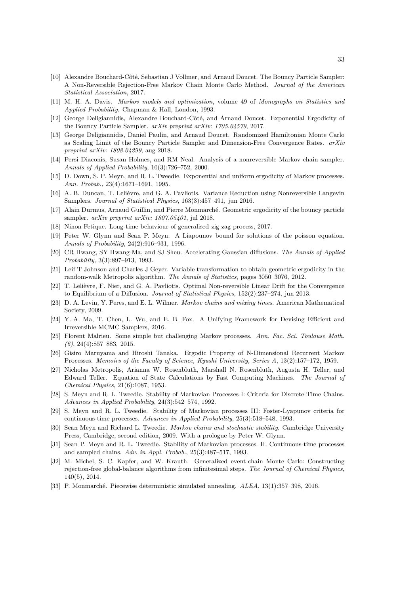- <span id="page-32-9"></span>[10] Alexandre Bouchard-Côté, Sebastian J Vollmer, and Arnaud Doucet. The Bouncy Particle Sampler: A Non-Reversible Rejection-Free Markov Chain Monte Carlo Method. *Journal of the American Statistical Association*, 2017.
- <span id="page-32-22"></span><span id="page-32-15"></span>[11] M. H. A. Davis. *Markov models and optimization*, volume 49 of *Monographs on Statistics and Applied Probability*. Chapman & Hall, London, 1993.
- <span id="page-32-12"></span>[12] George Deligiannidis, Alexandre Bouchard-Côté, and Arnaud Doucet. Exponential Ergodicity of the Bouncy Particle Sampler. *arXiv preprint arXiv: 1705.04579*, 2017.
- [13] George Deligiannidis, Daniel Paulin, and Arnaud Doucet. Randomized Hamiltonian Monte Carlo as Scaling Limit of the Bouncy Particle Sampler and Dimension-Free Convergence Rates. *arXiv preprint arXiv: 1808.04299*, aug 2018.
- <span id="page-32-3"></span>[14] Persi Diaconis, Susan Holmes, and RM Neal. Analysis of a nonreversible Markov chain sampler. *Annals of Applied Probability*, 10(3):726–752, 2000.
- <span id="page-32-21"></span>[15] D. Down, S. P. Meyn, and R. L. Tweedie. Exponential and uniform ergodicity of Markov processes. *Ann. Probab.*, 23(4):1671–1691, 1995.
- <span id="page-32-13"></span><span id="page-32-4"></span>[16] A. B. Duncan, T. Lelièvre, and G. A. Pavliotis. Variance Reduction using Nonreversible Langevin Samplers. *Journal of Statistical Physics*, 163(3):457–491, jun 2016.
- <span id="page-32-14"></span>[17] Alain Durmus, Arnaud Guillin, and Pierre Monmarché. Geometric ergodicity of the bouncy particle sampler. *arXiv preprint arXiv: 1807.05401*, jul 2018.
- <span id="page-32-23"></span>[18] Ninon Fetique. Long-time behaviour of generalised zig-zag process, 2017.
- [19] Peter W. Glynn and Sean P. Meyn. A Liapounov bound for solutions of the poisson equation. *Annals of Probability*, 24(2):916–931, 1996.
- <span id="page-32-5"></span>[20] CR Hwang, SY Hwang-Ma, and SJ Sheu. Accelerating Gaussian diffusions. *The Annals of Applied Probability*, 3(3):897–913, 1993.
- <span id="page-32-17"></span>[21] Leif T Johnson and Charles J Geyer. Variable transformation to obtain geometric ergodicity in the random-walk Metropolis algorithm. *The Annals of Statistics*, pages 3050–3076, 2012.
- <span id="page-32-6"></span>[22] T. Lelièvre, F. Nier, and G. A. Pavliotis. Optimal Non-reversible Linear Drift for the Convergence to Equilibrium of a Diffusion. *Journal of Statistical Physics*, 152(2):237–274, jun 2013.
- <span id="page-32-19"></span>[23] D. A. Levin, Y. Peres, and E. L. Wilmer. *Markov chains and mixing times*. American Mathematical Society, 2009.
- <span id="page-32-7"></span>[24] Y.-A. Ma, T. Chen, L. Wu, and E. B. Fox. A Unifying Framework for Devising Efficient and Irreversible MCMC Samplers, 2016.
- <span id="page-32-11"></span>[25] Florent Malrieu. Some simple but challenging Markov processes. *Ann. Fac. Sci. Toulouse Math. (6)*, 24(4):857–883, 2015.
- <span id="page-32-16"></span>[26] Gisiro Maruyama and Hiroshi Tanaka. Ergodic Property of N-Dimensional Recurrent Markov Processes. *Memoirs of the Faculty of Science, Kyushi University, Series A*, 13(2):157–172, 1959.
- <span id="page-32-2"></span>[27] Nicholas Metropolis, Arianna W. Rosenbluth, Marshall N. Rosenbluth, Augusta H. Teller, and Edward Teller. Equation of State Calculations by Fast Computing Machines. *The Journal of Chemical Physics*, 21(6):1087, 1953.
- <span id="page-32-20"></span>[28] S. Meyn and R. L. Tweedie. Stability of Markovian Processes I: Criteria for Discrete-Time Chains. *Advances in Applied Probability*, 24(3):542–574, 1992.
- <span id="page-32-18"></span>[29] S. Meyn and R. L. Tweedie. Stability of Markovian processes III: Foster-Lyapunov criteria for continuous-time processes. *Advances in Applied Probability*, 25(3):518–548, 1993.
- <span id="page-32-1"></span>[30] Sean Meyn and Richard L. Tweedie. *Markov chains and stochastic stability*. Cambridge University Press, Cambridge, second edition, 2009. With a prologue by Peter W. Glynn.
- <span id="page-32-0"></span>[31] Sean P. Meyn and R. L. Tweedie. Stability of Markovian processes. II. Continuous-time processes and sampled chains. *Adv. in Appl. Probab.*, 25(3):487–517, 1993.
- <span id="page-32-8"></span>[32] M. Michel, S. C. Kapfer, and W. Krauth. Generalized event-chain Monte Carlo: Constructing rejection-free global-balance algorithms from infinitesimal steps. *The Journal of Chemical Physics*, 140(5), 2014.
- <span id="page-32-10"></span>[33] P. Monmarch´e. Piecewise deterministic simulated annealing. *ALEA*, 13(1):357–398, 2016.